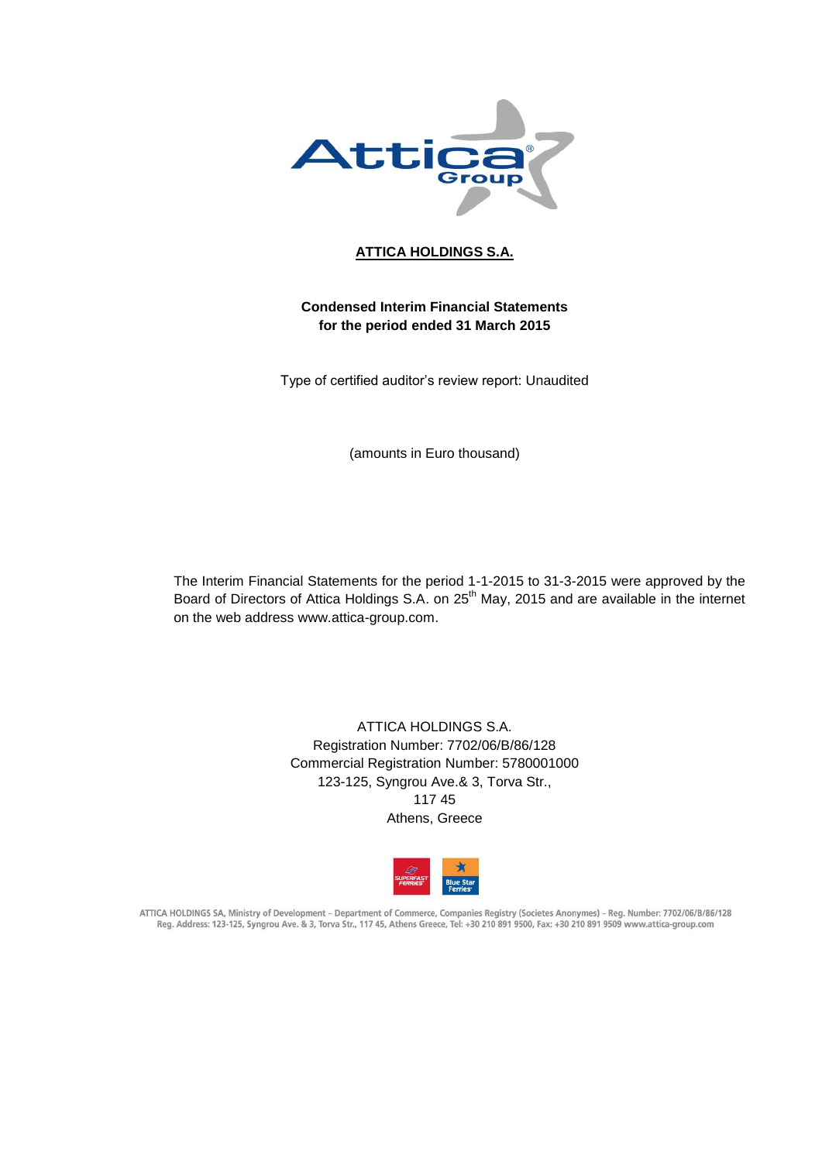

# **ATTICA HOLDINGS S.A.**

# **Condensed Interim Financial Statements for the period ended 31 March 2015**

Type of certified auditor's review report: Unaudited

(amounts in Euro thousand)

The Interim Financial Statements for the period 1-1-2015 to 31-3-2015 were approved by the Board of Directors of Attica Holdings S.A. on 25<sup>th</sup> May, 2015 and are available in the internet on the web address www.attica-group.com.

> ATTICA HOLDINGS S.A. Registration Number: 7702/06/B/86/128 Commercial Registration Number: 5780001000 123-125, Syngrou Ave.& 3, Torva Str., 117 45 Athens, Greece



ATTICA HOLDINGS SA, Ministry of Development - Department of Commerce, Companies Registry (Societes Anonymes) - Reg. Number: 7702/06/B/86/128 Reg. Address: 123-125, Syngrou Ave. & 3, Torva Str., 117 45, Athens Greece, Tel: +30 210 891 9500, Fax: +30 210 891 9509 www.attica-group.com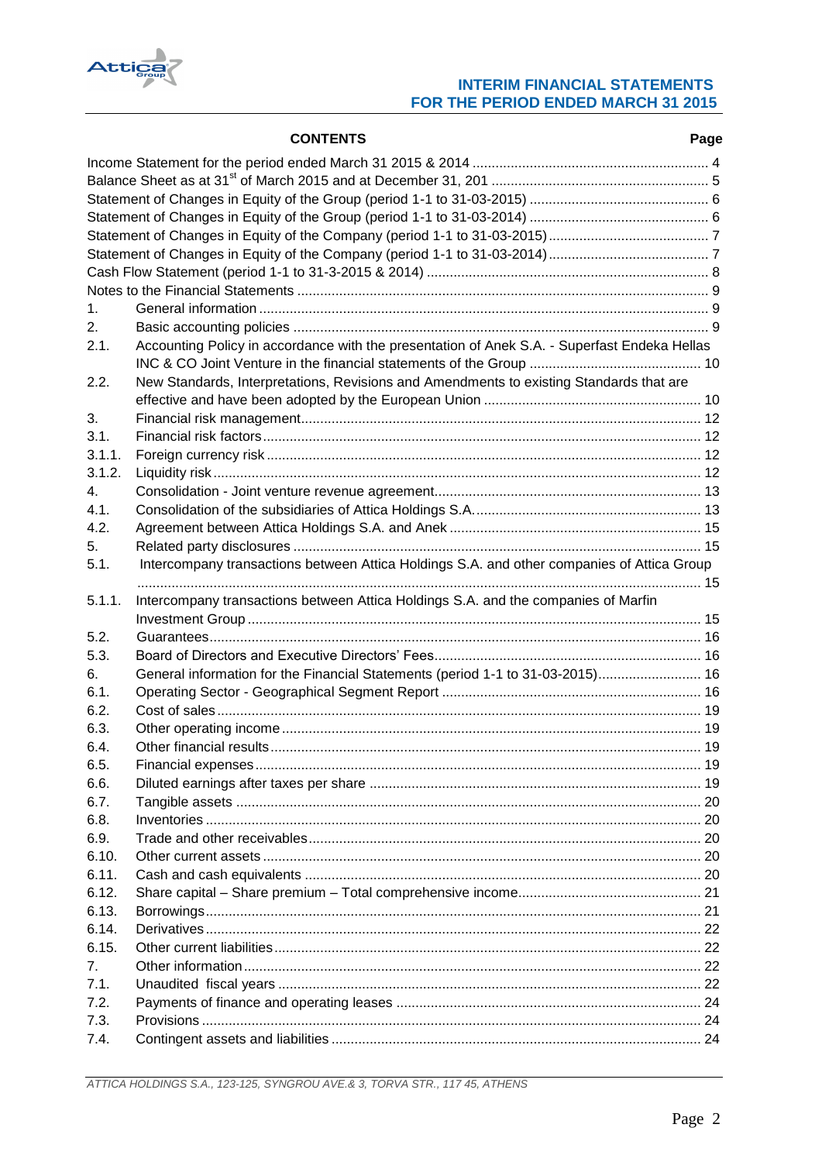

|                | <b>CONTENTS</b>                                                                              | Page |
|----------------|----------------------------------------------------------------------------------------------|------|
|                |                                                                                              |      |
|                |                                                                                              |      |
|                |                                                                                              |      |
|                |                                                                                              |      |
|                |                                                                                              |      |
|                |                                                                                              |      |
|                |                                                                                              |      |
|                |                                                                                              |      |
| 1 <sub>1</sub> |                                                                                              |      |
| 2.             |                                                                                              |      |
| 2.1.           | Accounting Policy in accordance with the presentation of Anek S.A. - Superfast Endeka Hellas |      |
|                |                                                                                              |      |
| 2.2.           | New Standards, Interpretations, Revisions and Amendments to existing Standards that are      |      |
|                |                                                                                              |      |
| 3.             |                                                                                              |      |
| 3.1.           |                                                                                              |      |
| 3.1.1.         |                                                                                              |      |
| 3.1.2.         |                                                                                              |      |
| $4_{-}$        |                                                                                              |      |
| 4.1.           |                                                                                              |      |
| 4.2.           |                                                                                              |      |
| 5.             |                                                                                              |      |
| 5.1.           | Intercompany transactions between Attica Holdings S.A. and other companies of Attica Group   |      |
| 5.1.1.         | Intercompany transactions between Attica Holdings S.A. and the companies of Marfin           |      |
|                |                                                                                              |      |
| 5.2.           |                                                                                              |      |
| 5.3.           |                                                                                              |      |
| 6.             | General information for the Financial Statements (period 1-1 to 31-03-2015) 16               |      |
| 6.1.           |                                                                                              |      |
| 6.2.           |                                                                                              |      |
| 6.3.           |                                                                                              |      |
| 6.4.           | Other financial results                                                                      | .19  |
| 6.5.           |                                                                                              |      |
| 6.6.           |                                                                                              |      |
| 6.7.           |                                                                                              |      |
| 6.8.           |                                                                                              |      |
| 6.9.           |                                                                                              |      |
| 6.10.          |                                                                                              |      |
| 6.11.          |                                                                                              |      |
| 6.12.          |                                                                                              |      |
| 6.13.          |                                                                                              |      |
| 6.14.          |                                                                                              |      |
| 6.15.          |                                                                                              |      |
| 7.             |                                                                                              |      |
| 7.1.           |                                                                                              |      |
| 7.2.           |                                                                                              |      |
| 7.3.           |                                                                                              |      |
| 7.4.           |                                                                                              |      |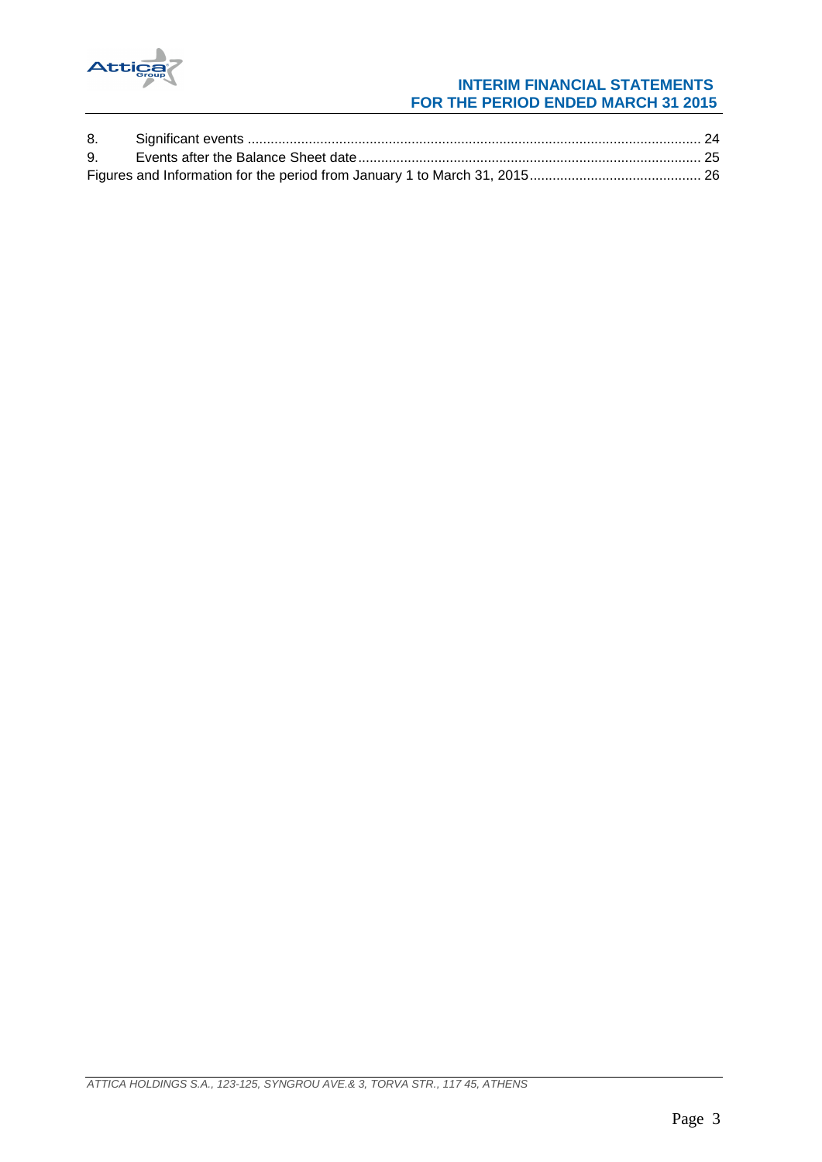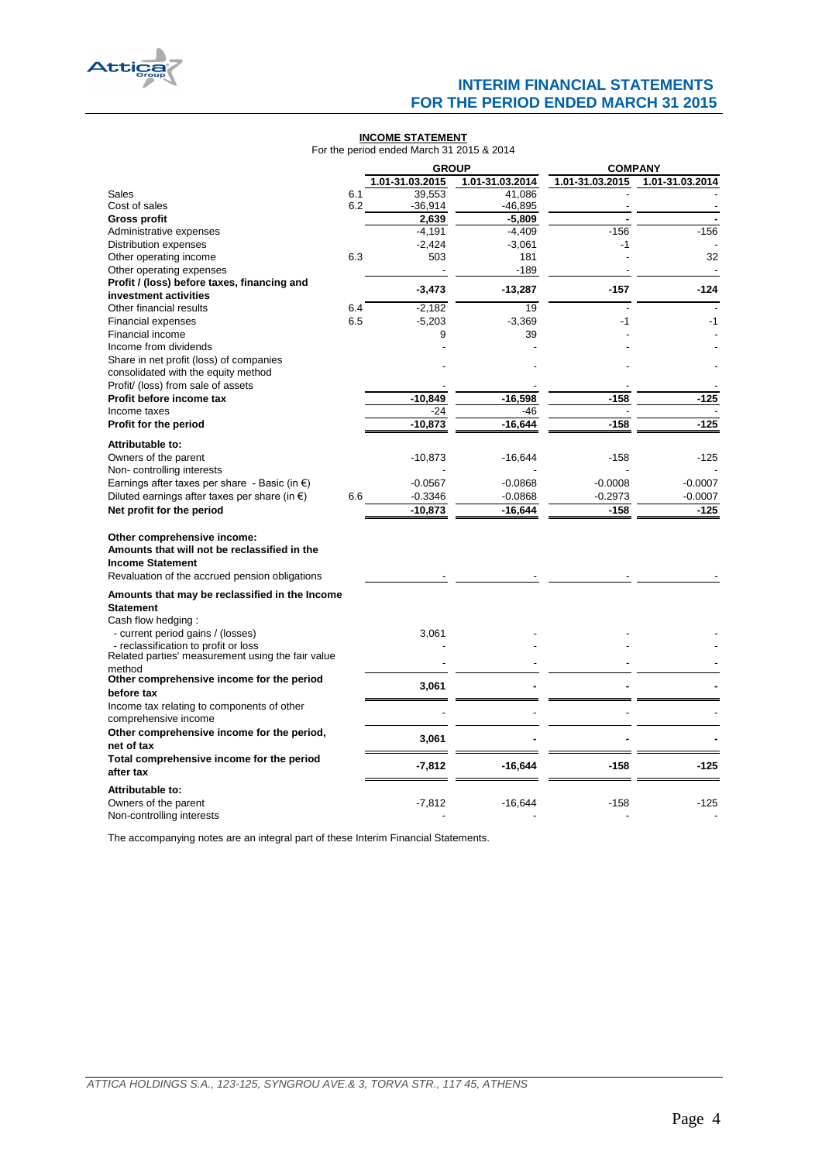

#### **INCOME STATEMENT**

For the period ended March 31 2015 & 2014

|                                                                                                                                                          |     | <b>GROUP</b>    |                 | <b>COMPANY</b>  |                 |  |
|----------------------------------------------------------------------------------------------------------------------------------------------------------|-----|-----------------|-----------------|-----------------|-----------------|--|
|                                                                                                                                                          |     | 1.01-31.03.2015 | 1.01-31.03.2014 | 1.01-31.03.2015 | 1.01-31.03.2014 |  |
| Sales                                                                                                                                                    | 6.1 | 39,553          | 41,086          |                 |                 |  |
| Cost of sales                                                                                                                                            | 6.2 | $-36,914$       | $-46,895$       |                 |                 |  |
| <b>Gross profit</b>                                                                                                                                      |     | 2,639           | -5,809          |                 |                 |  |
| Administrative expenses                                                                                                                                  |     | $-4,191$        | $-4,409$        | $-156$          | $-156$          |  |
| Distribution expenses                                                                                                                                    |     | $-2,424$        | $-3,061$        | -1              |                 |  |
| Other operating income                                                                                                                                   | 6.3 | 503             | 181             |                 | 32              |  |
| Other operating expenses                                                                                                                                 |     |                 | -189            |                 |                 |  |
| Profit / (loss) before taxes, financing and                                                                                                              |     | $-3,473$        | $-13,287$       | $-157$          | $-124$          |  |
| investment activities                                                                                                                                    |     |                 |                 |                 |                 |  |
| Other financial results                                                                                                                                  | 6.4 | $-2,182$        | 19              |                 |                 |  |
| Financial expenses                                                                                                                                       | 6.5 | $-5,203$        | $-3,369$        | -1              | -1              |  |
| Financial income                                                                                                                                         |     | 9               | 39              |                 |                 |  |
| Income from dividends                                                                                                                                    |     |                 |                 |                 |                 |  |
| Share in net profit (loss) of companies                                                                                                                  |     |                 |                 |                 |                 |  |
| consolidated with the equity method                                                                                                                      |     |                 |                 |                 |                 |  |
| Profit/ (loss) from sale of assets                                                                                                                       |     |                 |                 |                 |                 |  |
| Profit before income tax                                                                                                                                 |     | $-10,849$       | $-16,598$       | $-158$          | $-125$          |  |
| Income taxes                                                                                                                                             |     | -24             | $-46$           |                 |                 |  |
| Profit for the period                                                                                                                                    |     | $-10,873$       | $-16,644$       | $-158$          | -125            |  |
|                                                                                                                                                          |     |                 |                 |                 |                 |  |
| Attributable to:                                                                                                                                         |     |                 |                 |                 |                 |  |
| Owners of the parent                                                                                                                                     |     | $-10,873$       | $-16,644$       | $-158$          | $-125$          |  |
| Non-controlling interests                                                                                                                                |     |                 |                 |                 |                 |  |
| Earnings after taxes per share - Basic (in $\epsilon$ )                                                                                                  |     | $-0.0567$       | $-0.0868$       | $-0.0008$       | $-0.0007$       |  |
| Diluted earnings after taxes per share (in $\epsilon$ )                                                                                                  | 6.6 | $-0.3346$       | $-0.0868$       | $-0.2973$       | $-0.0007$       |  |
| Net profit for the period                                                                                                                                |     | $-10,873$       | $-16,644$       | $-158$          | $-125$          |  |
| Other comprehensive income:<br>Amounts that will not be reclassified in the<br><b>Income Statement</b><br>Revaluation of the accrued pension obligations |     |                 |                 |                 |                 |  |
| Amounts that may be reclassified in the Income                                                                                                           |     |                 |                 |                 |                 |  |
| <b>Statement</b>                                                                                                                                         |     |                 |                 |                 |                 |  |
| Cash flow hedging:                                                                                                                                       |     |                 |                 |                 |                 |  |
| - current period gains / (losses)                                                                                                                        |     | 3,061           |                 |                 |                 |  |
| - reclassification to profit or loss                                                                                                                     |     |                 |                 |                 |                 |  |
| Related parties' measurement using the fair value                                                                                                        |     |                 |                 |                 |                 |  |
| method                                                                                                                                                   |     |                 |                 |                 |                 |  |
| Other comprehensive income for the period                                                                                                                |     | 3,061           |                 |                 |                 |  |
| before tax                                                                                                                                               |     |                 |                 |                 |                 |  |
| Income tax relating to components of other                                                                                                               |     |                 |                 |                 |                 |  |
| comprehensive income                                                                                                                                     |     |                 |                 |                 |                 |  |
| Other comprehensive income for the period,                                                                                                               |     | 3,061           |                 |                 |                 |  |
| net of tax                                                                                                                                               |     |                 |                 |                 |                 |  |
| Total comprehensive income for the period                                                                                                                |     | -7,812          | $-16,644$       | $-158$          | -125            |  |
| after tax                                                                                                                                                |     |                 |                 |                 |                 |  |
| Attributable to:                                                                                                                                         |     |                 |                 |                 |                 |  |
| Owners of the parent                                                                                                                                     |     | $-7,812$        | $-16,644$       | $-158$          | $-125$          |  |
| Non-controlling interests                                                                                                                                |     |                 |                 |                 |                 |  |

<span id="page-3-0"></span>The accompanying notes are an integral part of these Interim Financial Statements.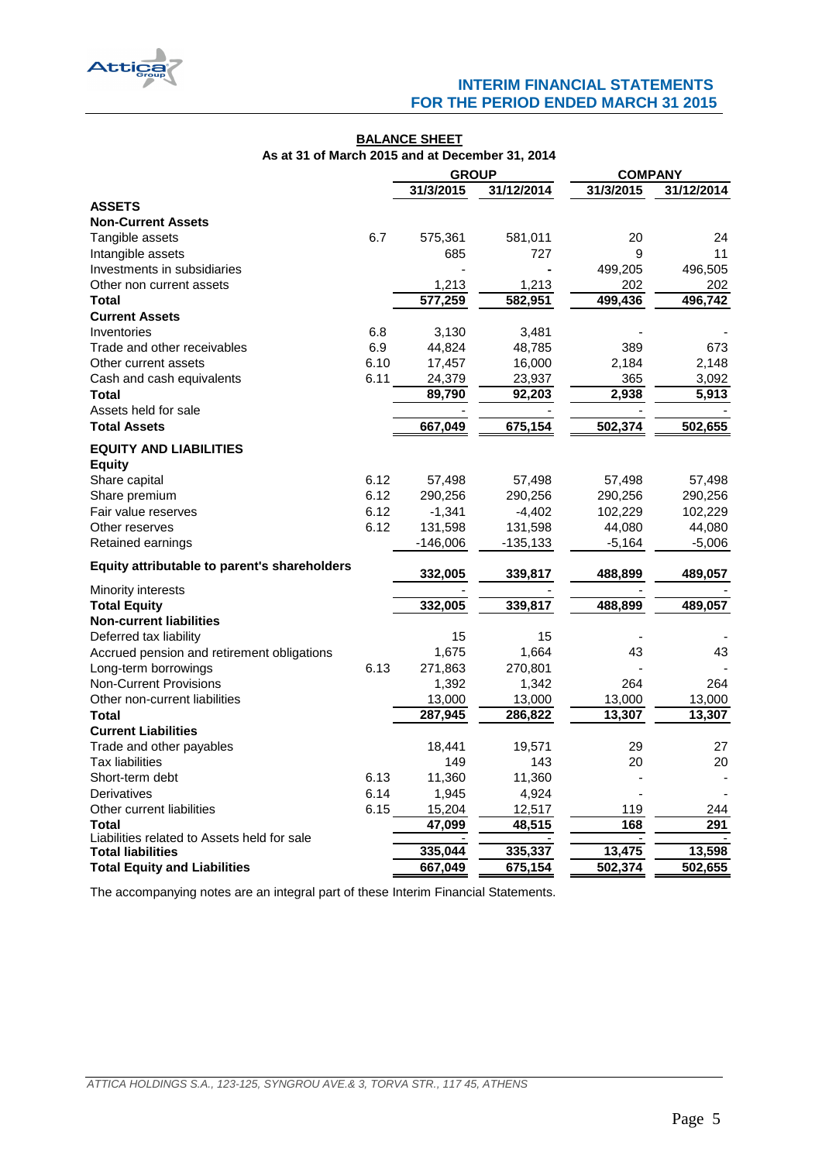

## **BALANCE SHEET As at 31 of March 2015 and at December 31, 2014**

|                                              |      | <b>GROUP</b> |            | <b>COMPANY</b> |            |
|----------------------------------------------|------|--------------|------------|----------------|------------|
|                                              |      | 31/3/2015    | 31/12/2014 | 31/3/2015      | 31/12/2014 |
| <b>ASSETS</b>                                |      |              |            |                |            |
| <b>Non-Current Assets</b>                    |      |              |            |                |            |
| Tangible assets                              | 6.7  | 575,361      | 581,011    | 20             | 24         |
| Intangible assets                            |      | 685          | 727        | 9              | 11         |
| Investments in subsidiaries                  |      |              |            | 499,205        | 496,505    |
| Other non current assets                     |      | 1,213        | 1,213      | 202            | 202        |
| Total                                        |      | 577,259      | 582,951    | 499,436        | 496,742    |
| <b>Current Assets</b>                        |      |              |            |                |            |
| Inventories                                  | 6.8  | 3,130        | 3,481      |                |            |
| Trade and other receivables                  | 6.9  | 44,824       | 48,785     | 389            | 673        |
| Other current assets                         | 6.10 | 17,457       | 16,000     | 2,184          | 2,148      |
| Cash and cash equivalents                    | 6.11 | 24,379       | 23,937     | 365            | 3,092      |
| <b>Total</b>                                 |      | 89,790       | 92,203     | 2,938          | 5,913      |
| Assets held for sale                         |      |              |            |                |            |
| <b>Total Assets</b>                          |      | 667,049      | 675,154    | 502,374        | 502,655    |
| <b>EQUITY AND LIABILITIES</b>                |      |              |            |                |            |
| <b>Equity</b>                                |      |              |            |                |            |
| Share capital                                | 6.12 | 57,498       | 57,498     | 57,498         | 57,498     |
| Share premium                                | 6.12 | 290,256      | 290,256    | 290,256        | 290,256    |
| Fair value reserves                          | 6.12 | $-1,341$     | $-4,402$   | 102,229        | 102,229    |
| Other reserves                               | 6.12 | 131,598      | 131,598    | 44,080         | 44,080     |
| Retained earnings                            |      | $-146,006$   | -135,133   | $-5,164$       | $-5,006$   |
|                                              |      |              |            |                |            |
| Equity attributable to parent's shareholders |      | 332,005      | 339,817    | 488,899        | 489,057    |
| <b>Minority interests</b>                    |      |              |            |                |            |
| <b>Total Equity</b>                          |      | 332,005      | 339,817    | 488,899        | 489,057    |
| <b>Non-current liabilities</b>               |      |              |            |                |            |
| Deferred tax liability                       |      | 15           | 15         |                |            |
| Accrued pension and retirement obligations   |      | 1,675        | 1,664      | 43             | 43         |
| Long-term borrowings                         | 6.13 | 271,863      | 270,801    |                |            |
| <b>Non-Current Provisions</b>                |      | 1,392        | 1,342      | 264            | 264        |
| Other non-current liabilities                |      | 13,000       | 13,000     | 13,000         | 13,000     |
| Total                                        |      | 287,945      | 286,822    | 13,307         | 13,307     |
| <b>Current Liabilities</b>                   |      |              |            |                |            |
| Trade and other payables                     |      | 18,441       | 19,571     | 29             | 27         |
| <b>Tax liabilities</b>                       |      | 149          | 143        | 20             | 20         |
| Short-term debt                              | 6.13 | 11,360       | 11,360     |                |            |
| Derivatives                                  | 6.14 | 1,945        | 4,924      |                |            |
| Other current liabilities                    | 6.15 | 15,204       | 12,517     | 119            | 244        |
| Total                                        |      | 47,099       | 48,515     | 168            | 291        |
| Liabilities related to Assets held for sale  |      | 335,044      | 335,337    | 13,475         | 13,598     |
| <b>Total liabilities</b>                     |      |              |            |                |            |
| <b>Total Equity and Liabilities</b>          |      | 667,049      | 675,154    | 502,374        | 502,655    |

<span id="page-4-0"></span>The accompanying notes are an integral part of these Interim Financial Statements.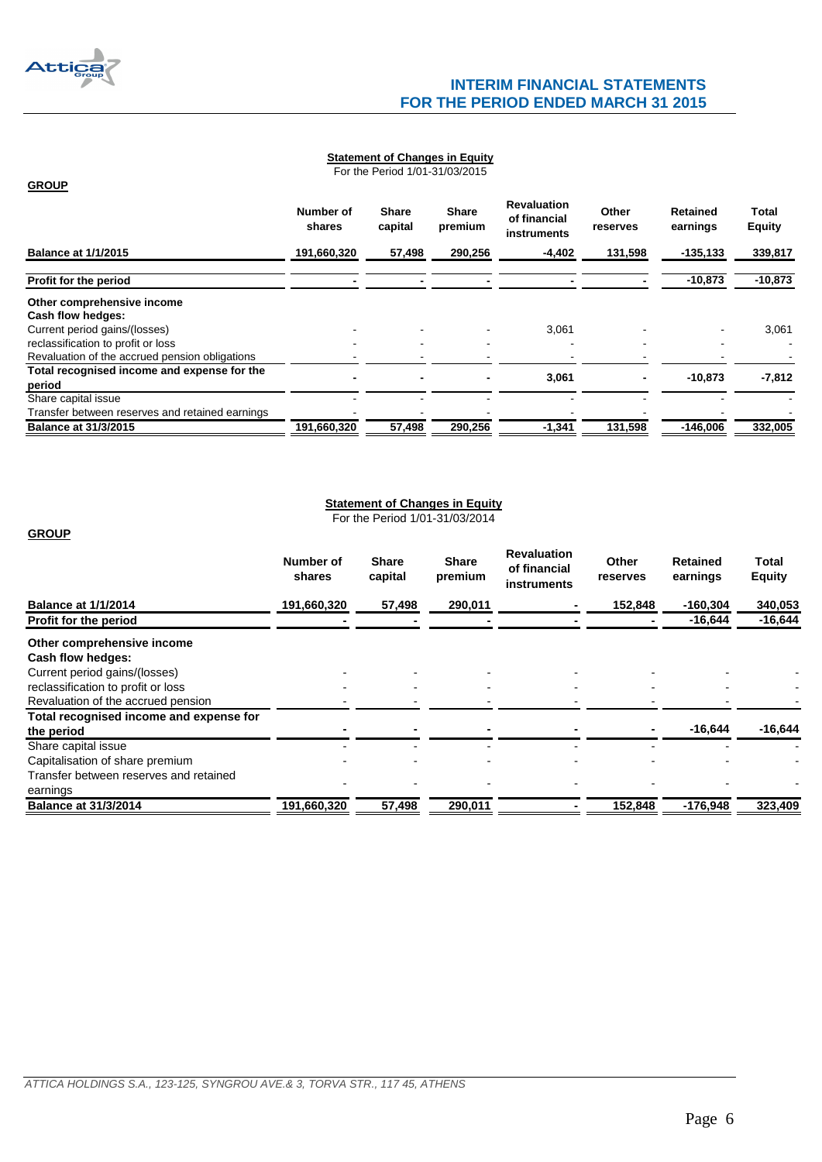

**GROUP**

# **INTERIM FINANCIAL STATEMENTS FOR THE PERIOD ENDED MARCH 31 2015**

## **Statement of Changes in Equity**

For the Period 1/01-31/03/2015

|                                                 | Number of<br>shares | <b>Share</b><br>capital | <b>Share</b><br>premium | <b>Revaluation</b><br>of financial<br>instruments | Other<br>reserves | Retained<br>earnings | Total<br><b>Equity</b> |
|-------------------------------------------------|---------------------|-------------------------|-------------------------|---------------------------------------------------|-------------------|----------------------|------------------------|
| <b>Balance at 1/1/2015</b>                      | 191,660,320         | 57,498                  | 290,256                 | $-4,402$                                          | 131,598           | $-135, 133$          | 339,817                |
| Profit for the period                           |                     |                         |                         |                                                   |                   | $-10,873$            | $-10,873$              |
| Other comprehensive income                      |                     |                         |                         |                                                   |                   |                      |                        |
| Cash flow hedges:                               |                     |                         |                         |                                                   |                   |                      |                        |
| Current period gains/(losses)                   |                     |                         |                         | 3,061                                             |                   |                      | 3,061                  |
| reclassification to profit or loss              |                     |                         |                         |                                                   |                   |                      |                        |
| Revaluation of the accrued pension obligations  |                     |                         |                         |                                                   |                   |                      |                        |
| Total recognised income and expense for the     |                     |                         |                         |                                                   |                   |                      |                        |
| period                                          |                     | $\blacksquare$          |                         | 3,061                                             |                   | $-10,873$            | $-7,812$               |
| Share capital issue                             |                     |                         |                         |                                                   |                   |                      |                        |
| Transfer between reserves and retained earnings |                     |                         |                         |                                                   |                   |                      |                        |
| <b>Balance at 31/3/2015</b>                     | 191,660,320         | 57,498                  | 290,256                 | $-1,341$                                          | 131,598           | $-146,006$           | 332,005                |

# **Statement of Changes in Equity**

For the Period 1/01-31/03/2014

## <span id="page-5-0"></span>**GROUP**

<span id="page-5-1"></span>

|                                         | Number of<br>shares | <b>Share</b><br>capital  | <b>Share</b><br>premium | <b>Revaluation</b><br>of financial<br>instruments | Other<br>reserves | <b>Retained</b><br>earnings | Total<br><b>Equity</b> |
|-----------------------------------------|---------------------|--------------------------|-------------------------|---------------------------------------------------|-------------------|-----------------------------|------------------------|
| <b>Balance at 1/1/2014</b>              | 191,660,320         | 57,498                   | 290,011                 |                                                   | 152,848           | $-160,304$                  | 340,053                |
| Profit for the period                   |                     |                          |                         |                                                   |                   | $-16,644$                   | $-16,644$              |
| Other comprehensive income              |                     |                          |                         |                                                   |                   |                             |                        |
| Cash flow hedges:                       |                     |                          |                         |                                                   |                   |                             |                        |
| Current period gains/(losses)           |                     |                          |                         |                                                   |                   |                             |                        |
| reclassification to profit or loss      |                     | $\overline{\phantom{0}}$ |                         |                                                   | $\blacksquare$    |                             |                        |
| Revaluation of the accrued pension      |                     |                          |                         |                                                   |                   |                             |                        |
| Total recognised income and expense for |                     |                          |                         |                                                   |                   |                             |                        |
| the period                              |                     |                          |                         |                                                   |                   | $-16,644$                   | $-16,644$              |
| Share capital issue                     |                     |                          |                         |                                                   |                   |                             |                        |
| Capitalisation of share premium         |                     |                          |                         |                                                   |                   |                             |                        |
| Transfer between reserves and retained  |                     |                          |                         |                                                   |                   |                             |                        |
| earnings                                |                     |                          |                         |                                                   |                   |                             |                        |
| <b>Balance at 31/3/2014</b>             | 191,660,320         | 57,498                   | 290,011                 |                                                   | 152,848           | $-176,948$                  | 323,409                |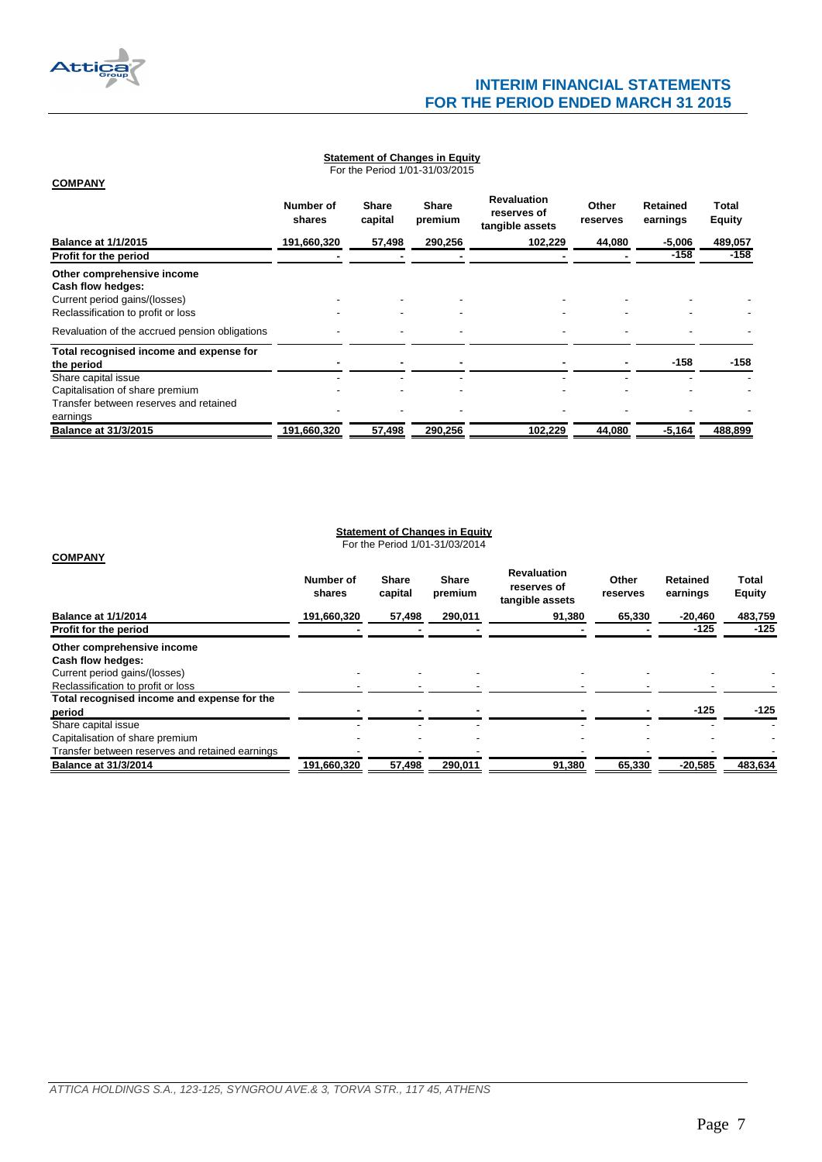

**COMPANY**

<span id="page-6-0"></span>**COMPANY**

# **Statement of Changes in Equity**

For the Period 1/01-31/03/2015

|                                                                                                                        | Number of<br>shares | <b>Share</b><br>capital | <b>Share</b><br>premium | <b>Revaluation</b><br>reserves of<br>tangible assets | Other<br>reserves | Retained<br>earnings | Total<br><b>Equity</b> |
|------------------------------------------------------------------------------------------------------------------------|---------------------|-------------------------|-------------------------|------------------------------------------------------|-------------------|----------------------|------------------------|
| <b>Balance at 1/1/2015</b>                                                                                             | 191,660,320         | 57,498                  | 290.256                 | 102,229                                              | 44,080            | $-5,006$             | 489,057                |
| Profit for the period                                                                                                  |                     |                         |                         |                                                      |                   | -158                 | $-158$                 |
| Other comprehensive income<br>Cash flow hedges:<br>Current period gains/(losses)<br>Reclassification to profit or loss |                     |                         |                         |                                                      |                   |                      |                        |
| Revaluation of the accrued pension obligations                                                                         |                     |                         |                         |                                                      |                   |                      |                        |
| Total recognised income and expense for<br>the period                                                                  |                     |                         |                         |                                                      |                   | $-158$               | $-158$                 |
| Share capital issue<br>Capitalisation of share premium                                                                 |                     |                         |                         |                                                      |                   |                      |                        |
| Transfer between reserves and retained<br>earnings                                                                     |                     |                         |                         |                                                      |                   |                      |                        |
| <b>Balance at 31/3/2015</b>                                                                                            | 191,660,320         | 57,498                  | 290,256                 | 102,229                                              | 44,080            | $-5,164$             | 488,899                |

#### **Statement of Changes in Equity**

For the Period 1/01-31/03/2014

<span id="page-6-1"></span>

|                                                 | Number of<br>shares | <b>Share</b><br>capital | <b>Share</b><br>premium | <b>Revaluation</b><br>reserves of<br>tangible assets | Other<br>reserves | <b>Retained</b><br>earnings | <b>Total</b><br><b>Equity</b> |
|-------------------------------------------------|---------------------|-------------------------|-------------------------|------------------------------------------------------|-------------------|-----------------------------|-------------------------------|
| <b>Balance at 1/1/2014</b>                      | 191,660,320         | 57,498                  | 290,011                 | 91,380                                               | 65,330            | $-20,460$                   | 483,759                       |
| Profit for the period                           |                     |                         |                         |                                                      |                   | $-125$                      | $-125$                        |
| Other comprehensive income<br>Cash flow hedges: |                     |                         |                         |                                                      |                   |                             |                               |
| Current period gains/(losses)                   |                     |                         |                         |                                                      |                   |                             |                               |
| Reclassification to profit or loss              |                     |                         |                         |                                                      |                   |                             |                               |
| Total recognised income and expense for the     |                     |                         |                         |                                                      |                   |                             |                               |
| period                                          |                     |                         |                         |                                                      |                   | $-125$                      | $-125$                        |
| Share capital issue                             |                     |                         |                         |                                                      |                   |                             |                               |
| Capitalisation of share premium                 |                     |                         |                         |                                                      |                   |                             |                               |
| Transfer between reserves and retained earnings |                     |                         |                         |                                                      |                   |                             |                               |
| <b>Balance at 31/3/2014</b>                     | 191,660,320         | 57,498                  | 290,011                 | 91,380                                               | 65,330            | $-20,585$                   | 483,634                       |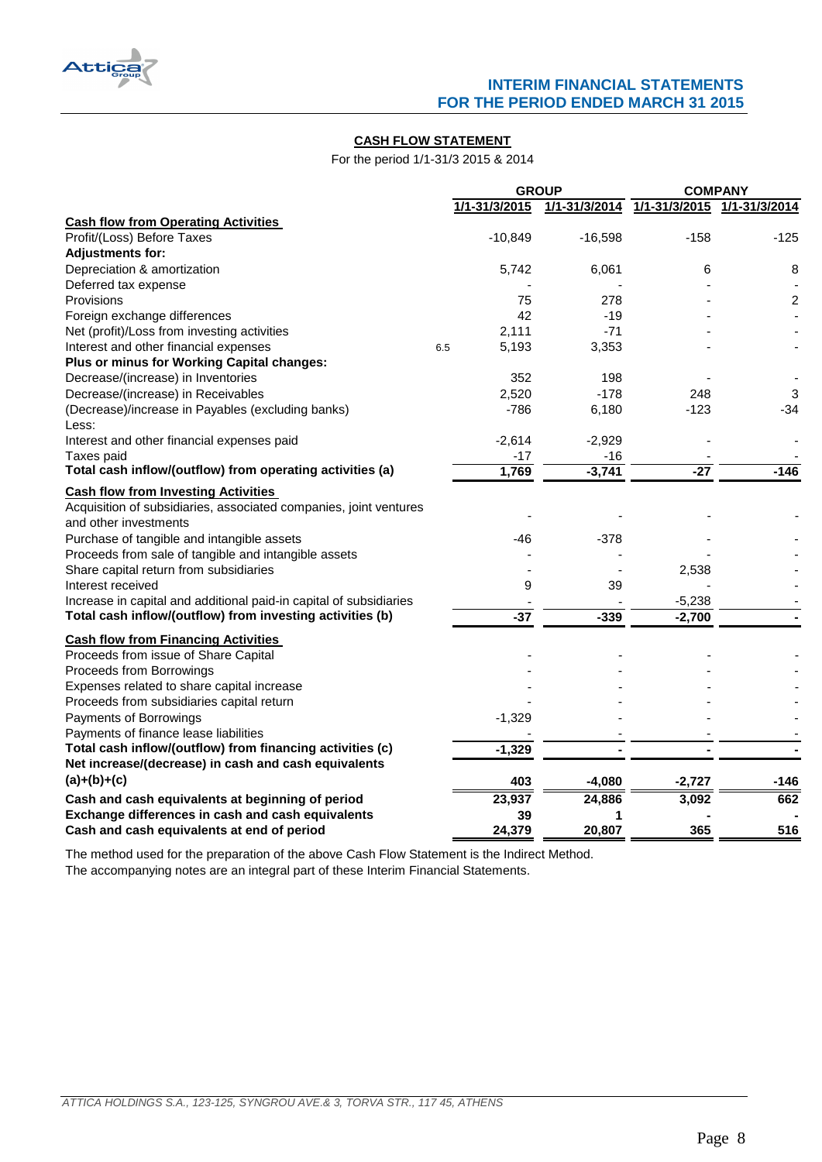

## **CASH FLOW STATEMENT**

For the period 1/1-31/3 2015 & 2014

|                                                                    |     | <b>GROUP</b>  |               | <b>COMPANY</b> |                         |  |
|--------------------------------------------------------------------|-----|---------------|---------------|----------------|-------------------------|--|
|                                                                    |     | 1/1-31/3/2015 | 1/1-31/3/2014 | 1/1-31/3/2015  | 1/1-31/3/2014           |  |
| <b>Cash flow from Operating Activities</b>                         |     |               |               |                |                         |  |
| Profit/(Loss) Before Taxes                                         |     | $-10,849$     | $-16,598$     | $-158$         | -125                    |  |
| <b>Adjustments for:</b>                                            |     |               |               |                |                         |  |
| Depreciation & amortization                                        |     | 5,742         | 6,061         | 6              | 8                       |  |
| Deferred tax expense                                               |     |               |               |                |                         |  |
| Provisions                                                         |     | 75            | 278           |                | $\overline{\mathbf{c}}$ |  |
| Foreign exchange differences                                       |     | 42            | $-19$         |                |                         |  |
| Net (profit)/Loss from investing activities                        |     | 2,111         | $-71$         |                |                         |  |
| Interest and other financial expenses                              | 6.5 | 5,193         | 3,353         |                |                         |  |
| Plus or minus for Working Capital changes:                         |     |               |               |                |                         |  |
| Decrease/(increase) in Inventories                                 |     | 352           | 198           |                |                         |  |
| Decrease/(increase) in Receivables                                 |     | 2,520         | $-178$        | 248            | 3                       |  |
| (Decrease)/increase in Payables (excluding banks)                  |     | $-786$        | 6,180         | $-123$         | $-34$                   |  |
| Less:                                                              |     |               |               |                |                         |  |
| Interest and other financial expenses paid                         |     | $-2,614$      | $-2,929$      |                |                         |  |
| Taxes paid                                                         |     | -17           | -16           |                |                         |  |
| Total cash inflow/(outflow) from operating activities (a)          |     | 1,769         | $-3,741$      | $-27$          | $-146$                  |  |
| <b>Cash flow from Investing Activities</b>                         |     |               |               |                |                         |  |
| Acquisition of subsidiaries, associated companies, joint ventures  |     |               |               |                |                         |  |
| and other investments                                              |     |               |               |                |                         |  |
| Purchase of tangible and intangible assets                         |     | -46           | $-378$        |                |                         |  |
| Proceeds from sale of tangible and intangible assets               |     |               |               |                |                         |  |
| Share capital return from subsidiaries                             |     |               |               | 2,538          |                         |  |
| Interest received                                                  |     | 9             | 39            |                |                         |  |
| Increase in capital and additional paid-in capital of subsidiaries |     |               |               | $-5,238$       |                         |  |
| Total cash inflow/(outflow) from investing activities (b)          |     | $-37$         | $-339$        | $-2,700$       |                         |  |
| <b>Cash flow from Financing Activities</b>                         |     |               |               |                |                         |  |
| Proceeds from issue of Share Capital                               |     |               |               |                |                         |  |
| Proceeds from Borrowings                                           |     |               |               |                |                         |  |
| Expenses related to share capital increase                         |     |               |               |                |                         |  |
| Proceeds from subsidiaries capital return                          |     |               |               |                |                         |  |
| Payments of Borrowings                                             |     | $-1,329$      |               |                |                         |  |
| Payments of finance lease liabilities                              |     |               |               |                |                         |  |
| Total cash inflow/(outflow) from financing activities (c)          |     | $-1,329$      |               |                |                         |  |
| Net increase/(decrease) in cash and cash equivalents               |     |               |               |                |                         |  |
| $(a)+(b)+(c)$                                                      |     | 403           | $-4,080$      | $-2,727$       | $-146$                  |  |
|                                                                    |     |               |               |                |                         |  |
| Cash and cash equivalents at beginning of period                   |     | 23,937        | 24,886        | 3,092          | 662                     |  |
| Exchange differences in cash and cash equivalents                  |     | 39            | 1             |                |                         |  |
| Cash and cash equivalents at end of period                         |     | 24,379        | 20,807        | 365            | 516                     |  |

<span id="page-7-0"></span>The accompanying notes are an integral part of these Interim Financial Statements. The method used for the preparation of the above Cash Flow Statement is the Indirect Method.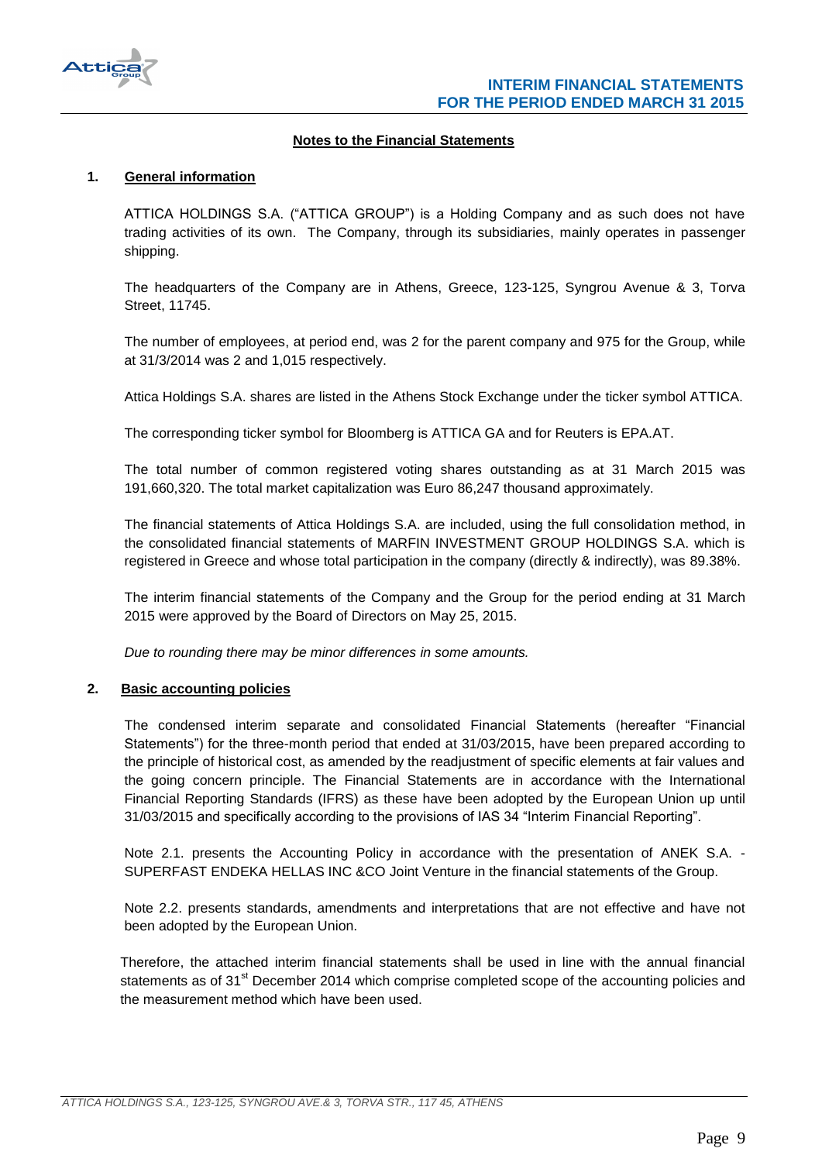

## **Notes to the Financial Statements**

## <span id="page-8-1"></span><span id="page-8-0"></span>**1. General information**

ATTICA HOLDINGS S.A. ("ATTICA GROUP") is a Holding Company and as such does not have trading activities of its own. The Company, through its subsidiaries, mainly operates in passenger shipping.

The headquarters of the Company are in Athens, Greece, 123-125, Syngrou Avenue & 3, Torva Street, 11745.

The number of employees, at period end, was 2 for the parent company and 975 for the Group, while at 31/3/2014 was 2 and 1,015 respectively.

Attica Holdings S.A. shares are listed in the Athens Stock Exchange under the ticker symbol ATTICA.

The corresponding ticker symbol for Bloomberg is ATTICA GA and for Reuters is EPA.AT.

The total number of common registered voting shares outstanding as at 31 March 2015 was 191,660,320. The total market capitalization was Euro 86,247 thousand approximately.

The financial statements of Attica Holdings S.A. are included, using the full consolidation method, in the consolidated financial statements of MARFIN INVESTMENT GROUP HOLDINGS S.A. which is registered in Greece and whose total participation in the company (directly & indirectly), was 89.38%.

The interim financial statements of the Company and the Group for the period ending at 31 March 2015 were approved by the Board of Directors on May 25, 2015.

*Due to rounding there may be minor differences in some amounts.*

#### <span id="page-8-2"></span>**2. Basic accounting policies**

The condensed interim separate and consolidated Financial Statements (hereafter "Financial Statements") for the three-month period that ended at 31/03/2015, have been prepared according to the principle of historical cost, as amended by the readjustment of specific elements at fair values and the going concern principle. The Financial Statements are in accordance with the International Financial Reporting Standards (IFRS) as these have been adopted by the European Union up until 31/03/2015 and specifically according to the provisions of IAS 34 "Interim Financial Reporting".

Note 2.1. presents the Accounting Policy in accordance with the presentation of ANEK S.A. - SUPERFAST ENDEKA HELLAS INC &CO Joint Venture in the financial statements of the Group.

Note 2.2. presents standards, amendments and interpretations that are not effective and have not been adopted by the European Union.

Therefore, the attached interim financial statements shall be used in line with the annual financial statements as of 31<sup>st</sup> December 2014 which comprise completed scope of the accounting policies and the measurement method which have been used.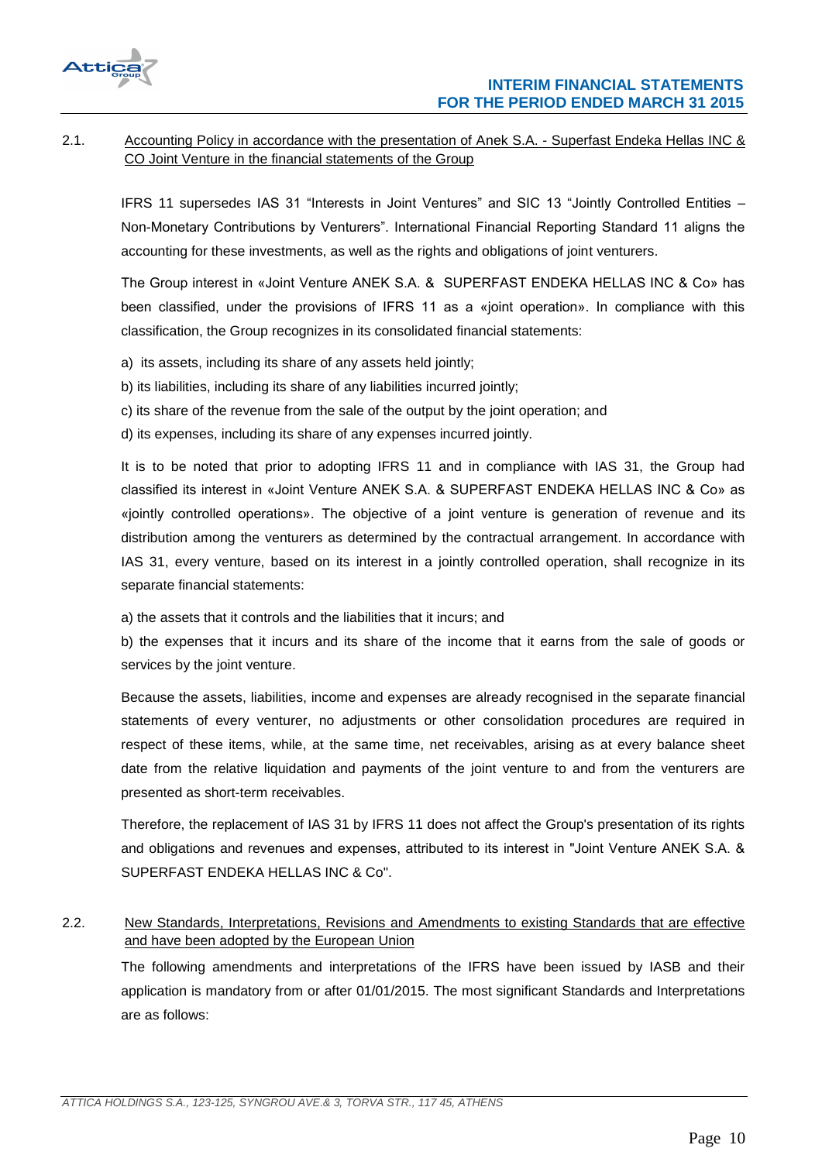

# <span id="page-9-0"></span>2.1. Accounting Policy in accordance with the presentation of Anek S.A. - Superfast Endeka Hellas INC & CO Joint Venture in the financial statements of the Group

IFRS 11 supersedes IAS 31 "Interests in Joint Ventures" and SIC 13 "Jointly Controlled Entities – Non-Monetary Contributions by Venturers". International Financial Reporting Standard 11 aligns the accounting for these investments, as well as the rights and obligations of joint venturers.

The Group interest in «Joint Venture ΑΝΕΚ S.A. & SUPERFAST ENDEKA HELLAS INC & Co» has been classified, under the provisions of IFRS 11 as a «joint operation». In compliance with this classification, the Group recognizes in its consolidated financial statements:

- a) its assets, including its share of any assets held jointly;
- b) its liabilities, including its share of any liabilities incurred jointly;
- c) its share of the revenue from the sale of the output by the joint operation; and
- d) its expenses, including its share of any expenses incurred jointly.

It is to be noted that prior to adopting IFRS 11 and in compliance with IAS 31, the Group had classified its interest in «Joint Venture ΑΝΕΚ S.A. & SUPERFAST ENDEKA HELLAS INC & Co» as «jointly controlled operations». The objective of a joint venture is generation of revenue and its distribution among the venturers as determined by the contractual arrangement. In accordance with IAS 31, every venture, based on its interest in a jointly controlled operation, shall recognize in its separate financial statements:

a) the assets that it controls and the liabilities that it incurs; and

b) the expenses that it incurs and its share of the income that it earns from the sale of goods or services by the joint venture.

Because the assets, liabilities, income and expenses are already recognised in the separate financial statements of every venturer, no adjustments or other consolidation procedures are required in respect of these items, while, at the same time, net receivables, arising as at every balance sheet date from the relative liquidation and payments of the joint venture to and from the venturers are presented as short-term receivables.

Therefore, the replacement of IAS 31 by IFRS 11 does not affect the Group's presentation of its rights and obligations and revenues and expenses, attributed to its interest in "Joint Venture ΑΝΕΚ S.A. & SUPERFAST ENDEKA HELLAS INC & Co".

# <span id="page-9-1"></span>2.2. New Standards, Interpretations, Revisions and Amendments to existing Standards that are effective and have been adopted by the European Union

The following amendments and interpretations of the IFRS have been issued by IASB and their application is mandatory from or after 01/01/2015. The most significant Standards and Interpretations are as follows: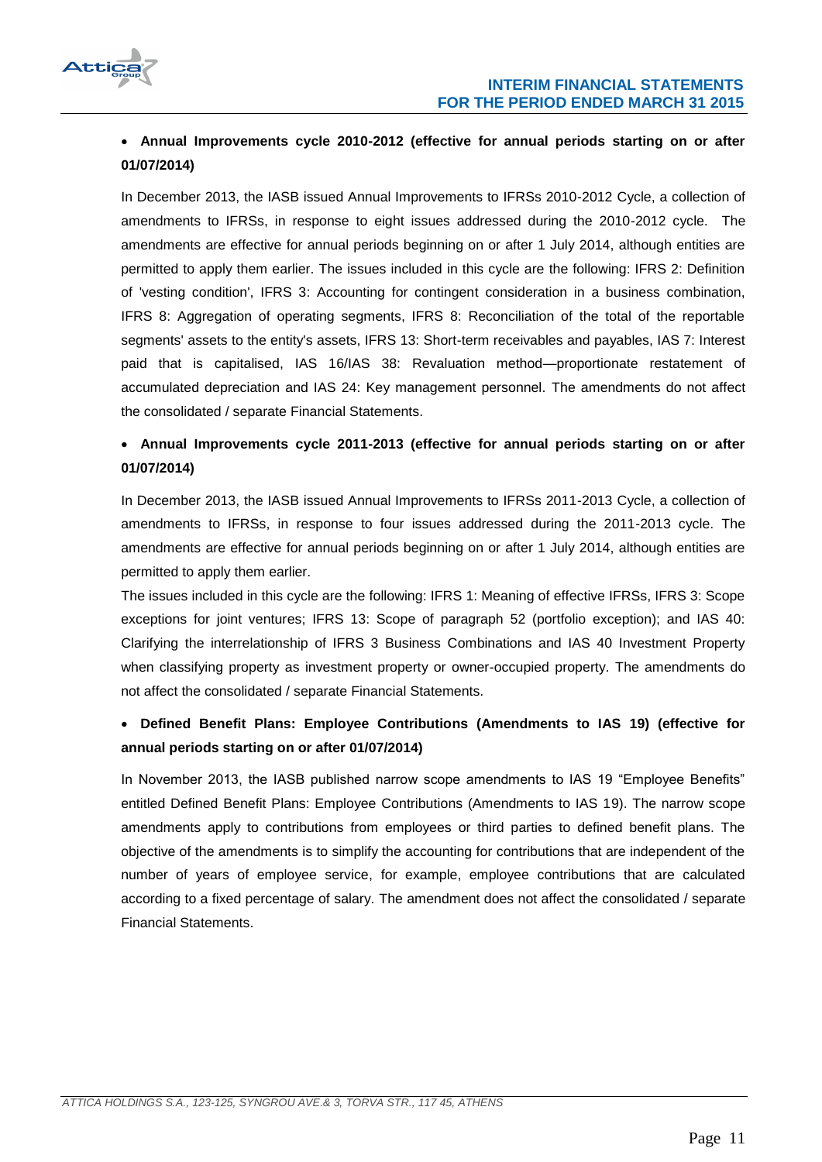

# **Annual Improvements cycle 2010-2012 (effective for annual periods starting on or after 01/07/2014)**

In December 2013, the IASB issued Annual Improvements to IFRSs 2010-2012 Cycle, a collection of amendments to IFRSs, in response to eight issues addressed during the 2010-2012 cycle. The amendments are effective for annual periods beginning on or after 1 July 2014, although entities are permitted to apply them earlier. The issues included in this cycle are the following: IFRS 2: Definition of 'vesting condition', IFRS 3: Accounting for contingent consideration in a business combination, IFRS 8: Aggregation of operating segments, IFRS 8: Reconciliation of the total of the reportable segments' assets to the entity's assets, IFRS 13: Short-term receivables and payables, IAS 7: Interest paid that is capitalised, IAS 16/IAS 38: Revaluation method—proportionate restatement of accumulated depreciation and IAS 24: Key management personnel. The amendments do not affect the consolidated / separate Financial Statements.

# **Annual Improvements cycle 2011-2013 (effective for annual periods starting on or after 01/07/2014)**

In December 2013, the IASB issued Annual Improvements to IFRSs 2011-2013 Cycle, a collection of amendments to IFRSs, in response to four issues addressed during the 2011-2013 cycle. The amendments are effective for annual periods beginning on or after 1 July 2014, although entities are permitted to apply them earlier.

The issues included in this cycle are the following: IFRS 1: Meaning of effective IFRSs, IFRS 3: Scope exceptions for joint ventures; IFRS 13: Scope of paragraph 52 (portfolio exception); and IAS 40: Clarifying the interrelationship of IFRS 3 Business Combinations and IAS 40 Investment Property when classifying property as investment property or owner-occupied property. The amendments do not affect the consolidated / separate Financial Statements.

# **[Defined Benefit Plans: Employee Contributions](http://www.ifrs.org/Current-Projects/IASB-Projects/Defined-Benefit-Plans-Employee-Contributions/Pages/IAS-19-Employee-Benefits.aspx) (Amendments to IAS 19) (effective for annual periods starting on or after 01/07/2014)**

In November 2013, the IASB published narrow scope amendments to IAS 19 "Employee Benefits" entitled Defined Benefit Plans: Employee Contributions (Amendments to IAS 19). The narrow scope amendments apply to contributions from employees or third parties to defined benefit plans. The objective of the amendments is to simplify the accounting for contributions that are independent of the number of years of employee service, for example, employee contributions that are calculated according to a fixed percentage of salary. The amendment does not affect the consolidated / separate Financial Statements.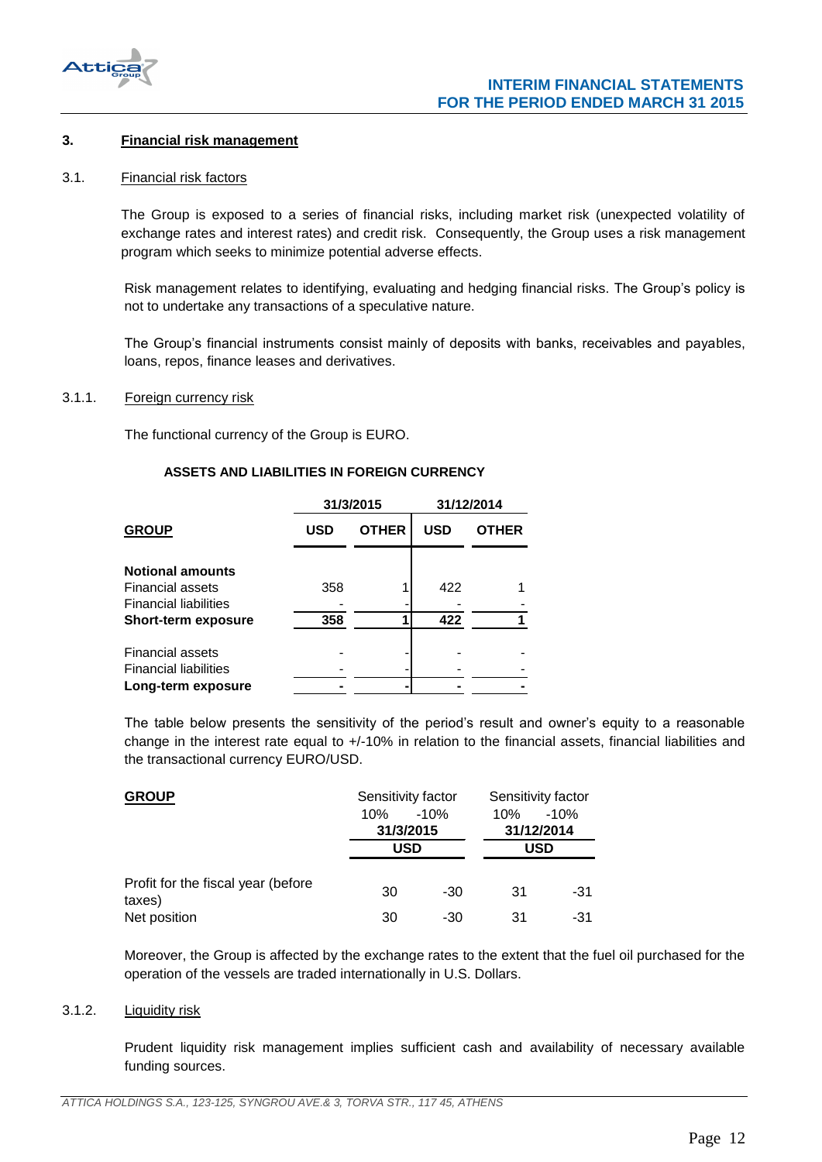

## <span id="page-11-0"></span>**3. Financial risk management**

#### <span id="page-11-1"></span>3.1. Financial risk factors

The Group is exposed to a series of financial risks, including market risk (unexpected volatility of exchange rates and interest rates) and credit risk. Consequently, the Group uses a risk management program which seeks to minimize potential adverse effects.

Risk management relates to identifying, evaluating and hedging financial risks. The Group's policy is not to undertake any transactions of a speculative nature.

The Group's financial instruments consist mainly of deposits with banks, receivables and payables, loans, repos, finance leases and derivatives.

## <span id="page-11-2"></span>3.1.1. Foreign currency risk

The functional currency of the Group is EURO.

#### **ASSETS AND LIABILITIES IN FOREIGN CURRENCY**

|                              |            | 31/3/2015    | 31/12/2014 |              |  |
|------------------------------|------------|--------------|------------|--------------|--|
| <b>GROUP</b>                 | <b>USD</b> | <b>OTHER</b> | <b>USD</b> | <b>OTHER</b> |  |
| <b>Notional amounts</b>      |            |              |            |              |  |
| <b>Financial assets</b>      | 358        |              | 422        |              |  |
| <b>Financial liabilities</b> |            |              |            |              |  |
| <b>Short-term exposure</b>   | 358        |              | 422        |              |  |
| <b>Financial assets</b>      |            |              |            |              |  |
| <b>Financial liabilities</b> |            |              |            |              |  |
| Long-term exposure           |            |              |            |              |  |
|                              |            |              |            |              |  |

The table below presents the sensitivity of the period's result and owner's equity to a reasonable change in the interest rate equal to +/-10% in relation to the financial assets, financial liabilities and the transactional currency EURO/USD.

| <b>GROUP</b>                                 | Sensitivity factor |            | Sensitivity factor |        |
|----------------------------------------------|--------------------|------------|--------------------|--------|
|                                              | 10%                | $-10%$     | 10%                | $-10%$ |
|                                              | 31/3/2015          |            | 31/12/2014         |        |
|                                              |                    | <b>USD</b> |                    | USD    |
| Profit for the fiscal year (before<br>taxes) | 30                 | -30        | 31                 | -31    |
| Net position                                 | 30                 | -30        | 31                 | -31    |

Moreover, the Group is affected by the exchange rates to the extent that the fuel oil purchased for the operation of the vessels are traded internationally in U.S. Dollars.

## <span id="page-11-3"></span>3.1.2. Liquidity risk

Prudent liquidity risk management implies sufficient cash and availability of necessary available funding sources.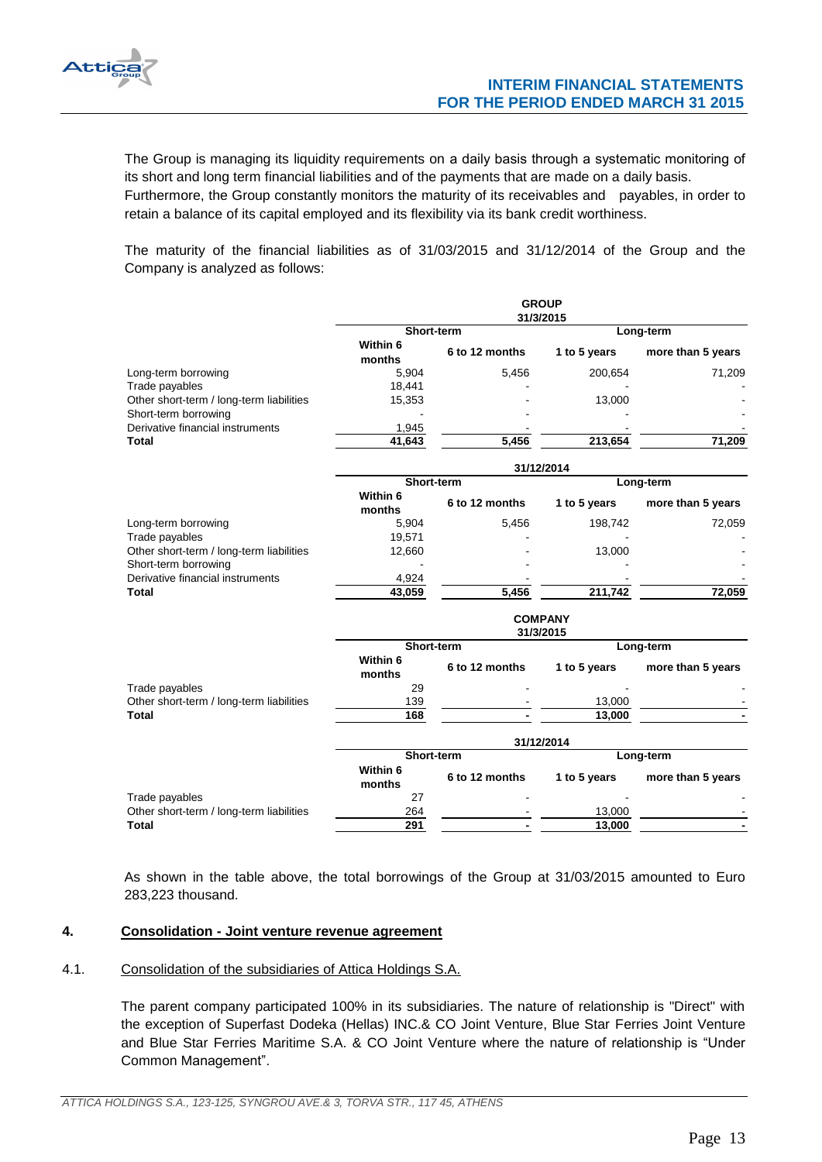

The Group is managing its liquidity requirements on a daily basis through a systematic monitoring of its short and long term financial liabilities and of the payments that are made on a daily basis.

Furthermore, the Group constantly monitors the maturity of its receivables and payables, in order to retain a balance of its capital employed and its flexibility via its bank credit worthiness.

The maturity of the financial liabilities as of 31/03/2015 and 31/12/2014 of the Group and the Company is analyzed as follows:

|                                                                  | <b>GROUP</b><br>31/3/2015 |                |                             |                   |  |  |  |
|------------------------------------------------------------------|---------------------------|----------------|-----------------------------|-------------------|--|--|--|
|                                                                  | Short-term                |                | Long-term                   |                   |  |  |  |
|                                                                  | Within 6<br>months        | 6 to 12 months | 1 to 5 years                | more than 5 years |  |  |  |
| Long-term borrowing                                              | 5,904                     | 5,456          | 200,654                     | 71,209            |  |  |  |
| Trade payables                                                   | 18,441                    |                |                             |                   |  |  |  |
| Other short-term / long-term liabilities<br>Short-term borrowing | 15,353                    |                | 13,000                      |                   |  |  |  |
| Derivative financial instruments                                 | 1,945                     |                |                             |                   |  |  |  |
| <b>Total</b>                                                     | 41,643                    | 5,456          | 213,654                     | 71,209            |  |  |  |
|                                                                  |                           |                | 31/12/2014                  |                   |  |  |  |
|                                                                  | Short-term                |                |                             | Long-term         |  |  |  |
|                                                                  | Within 6<br>months        | 6 to 12 months | 1 to 5 years                | more than 5 years |  |  |  |
| Long-term borrowing                                              | 5,904                     | 5,456          | 198,742                     | 72,059            |  |  |  |
| Trade payables                                                   | 19,571                    |                |                             |                   |  |  |  |
| Other short-term / long-term liabilities                         | 12,660                    |                | 13,000                      |                   |  |  |  |
| Short-term borrowing                                             |                           |                |                             |                   |  |  |  |
| Derivative financial instruments                                 | 4,924                     |                |                             |                   |  |  |  |
| <b>Total</b>                                                     | 43,059                    | 5,456          | 211,742                     | 72,059            |  |  |  |
|                                                                  |                           |                | <b>COMPANY</b><br>31/3/2015 |                   |  |  |  |
|                                                                  | Short-term                |                |                             | Long-term         |  |  |  |
|                                                                  | Within 6<br>months        | 6 to 12 months | 1 to 5 years                | more than 5 years |  |  |  |
| Trade payables                                                   | 29                        |                |                             |                   |  |  |  |
| Other short-term / long-term liabilities                         | 139                       |                | 13,000                      |                   |  |  |  |
| <b>Total</b>                                                     | 168                       |                | 13,000                      |                   |  |  |  |
|                                                                  |                           |                | 31/12/2014                  |                   |  |  |  |
|                                                                  | Short-term                |                |                             | Long-term         |  |  |  |
|                                                                  | Within 6<br>months        | 6 to 12 months | 1 to 5 years                | more than 5 years |  |  |  |
| Trade payables                                                   | 27                        |                |                             |                   |  |  |  |
| Other short-term / long-term liabilities                         | 264                       |                | 13,000                      |                   |  |  |  |
| <b>Total</b>                                                     | 291                       |                | 13,000                      |                   |  |  |  |

As shown in the table above, the total borrowings of the Group at 31/03/2015 amounted to Euro 283,223 thousand.

## <span id="page-12-0"></span>**4. Consolidation - Joint venture revenue agreement**

#### <span id="page-12-1"></span>4.1. Consolidation of the subsidiaries of Attica Holdings S.A.

The parent company participated 100% in its subsidiaries. The nature of relationship is "Direct" with the exception of Superfast Dodeka (Hellas) INC.& CO Joint Venture, Blue Star Ferries Joint Venture and Blue Star Ferries Maritime S.A. & CO Joint Venture where the nature of relationship is "Under Common Management".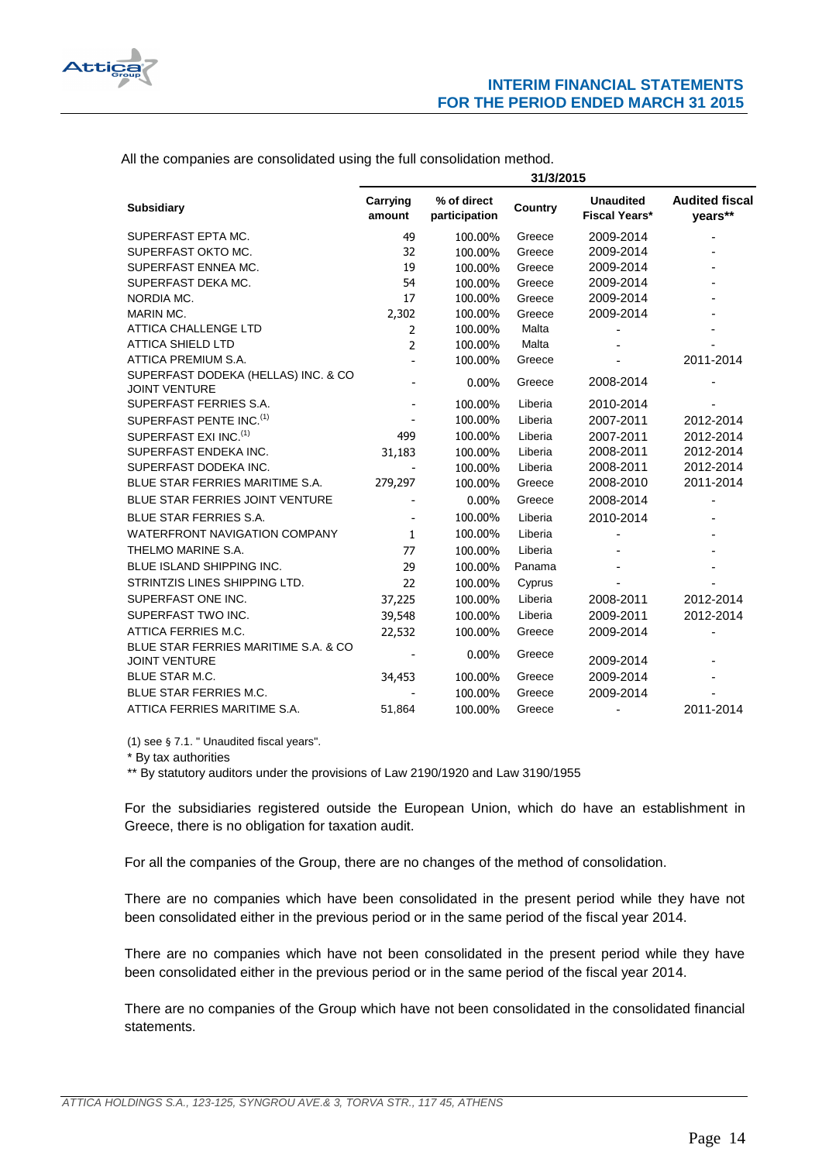

All the companies are consolidated using the full consolidation method.

|                                                              | 31/3/2015                    |                              |         |                                          |                                  |
|--------------------------------------------------------------|------------------------------|------------------------------|---------|------------------------------------------|----------------------------------|
| <b>Subsidiary</b>                                            | Carrying<br>amount           | % of direct<br>participation | Country | <b>Unaudited</b><br><b>Fiscal Years*</b> | <b>Audited fiscal</b><br>years** |
| SUPERFAST EPTA MC.                                           | 49                           | 100.00%                      | Greece  | 2009-2014                                |                                  |
| SUPERFAST OKTO MC.                                           | 32                           | 100.00%                      | Greece  | 2009-2014                                |                                  |
| SUPERFAST ENNEA MC.                                          | 19                           | 100.00%                      | Greece  | 2009-2014                                |                                  |
| SUPERFAST DEKA MC.                                           | 54                           | 100.00%                      | Greece  | 2009-2014                                |                                  |
| NORDIA MC.                                                   | 17                           | 100.00%                      | Greece  | 2009-2014                                |                                  |
| <b>MARIN MC.</b>                                             | 2,302                        | 100.00%                      | Greece  | 2009-2014                                |                                  |
| <b>ATTICA CHALLENGE LTD</b>                                  | 2                            | 100.00%                      | Malta   |                                          |                                  |
| <b>ATTICA SHIELD LTD</b>                                     | 2                            | 100.00%                      | Malta   |                                          |                                  |
| ATTICA PREMIUM S.A.                                          |                              | 100.00%                      | Greece  |                                          | 2011-2014                        |
| SUPERFAST DODEKA (HELLAS) INC. & CO<br><b>JOINT VENTURE</b>  |                              | $0.00\%$                     | Greece  | 2008-2014                                |                                  |
| SUPERFAST FERRIES S.A.                                       |                              | 100.00%                      | Liberia | 2010-2014                                |                                  |
| SUPERFAST PENTE INC. <sup>(1)</sup>                          |                              | 100.00%                      | Liberia | 2007-2011                                | 2012-2014                        |
| SUPERFAST EXI INC. <sup>(1)</sup>                            | 499                          | 100.00%                      | Liberia | 2007-2011                                | 2012-2014                        |
| SUPERFAST ENDEKA INC.                                        | 31,183                       | 100.00%                      | Liberia | 2008-2011                                | 2012-2014                        |
| SUPERFAST DODEKA INC.                                        |                              | 100.00%                      | Liberia | 2008-2011                                | 2012-2014                        |
| BLUE STAR FERRIES MARITIME S.A.                              | 279,297                      | 100.00%                      | Greece  | 2008-2010                                | 2011-2014                        |
| <b>BLUE STAR FERRIES JOINT VENTURE</b>                       |                              | 0.00%                        | Greece  | 2008-2014                                |                                  |
| <b>BLUE STAR FERRIES S.A.</b>                                | $\qquad \qquad \blacksquare$ | 100.00%                      | Liberia | 2010-2014                                |                                  |
| <b>WATERFRONT NAVIGATION COMPANY</b>                         | $\mathbf{1}$                 | 100.00%                      | Liberia |                                          |                                  |
| THELMO MARINE S.A.                                           | 77                           | 100.00%                      | Liberia |                                          |                                  |
| <b>BLUE ISLAND SHIPPING INC.</b>                             | 29                           | 100.00%                      | Panama  |                                          |                                  |
| STRINTZIS LINES SHIPPING LTD.                                | 22                           | 100.00%                      | Cyprus  |                                          |                                  |
| SUPERFAST ONE INC.                                           | 37,225                       | 100.00%                      | Liberia | 2008-2011                                | 2012-2014                        |
| SUPERFAST TWO INC.                                           | 39,548                       | 100.00%                      | Liberia | 2009-2011                                | 2012-2014                        |
| ATTICA FERRIES M.C.                                          | 22,532                       | 100.00%                      | Greece  | 2009-2014                                |                                  |
| BLUE STAR FERRIES MARITIME S.A. & CO<br><b>JOINT VENTURE</b> |                              | 0.00%                        | Greece  | 2009-2014                                |                                  |
| <b>BLUE STAR M.C.</b>                                        | 34,453                       | 100.00%                      | Greece  | 2009-2014                                |                                  |
| <b>BLUE STAR FERRIES M.C.</b>                                |                              | 100.00%                      | Greece  | 2009-2014                                |                                  |
| ATTICA FERRIES MARITIME S.A.                                 | 51,864                       | 100.00%                      | Greece  | $\overline{\phantom{a}}$                 | 2011-2014                        |

(1) see § 7.1. " Unaudited fiscal years".

\* By tax authorities

\*\* By statutory auditors under the provisions of Law 2190/1920 and Law 3190/1955

For the subsidiaries registered outside the European Union, which do have an establishment in Greece, there is no obligation for taxation audit.

For all the companies of the Group, there are no changes of the method of consolidation.

There are no companies which have been consolidated in the present period while they have not been consolidated either in the previous period or in the same period of the fiscal year 2014.

There are no companies which have not been consolidated in the present period while they have been consolidated either in the previous period or in the same period of the fiscal year 2014.

There are no companies of the Group which have not been consolidated in the consolidated financial statements.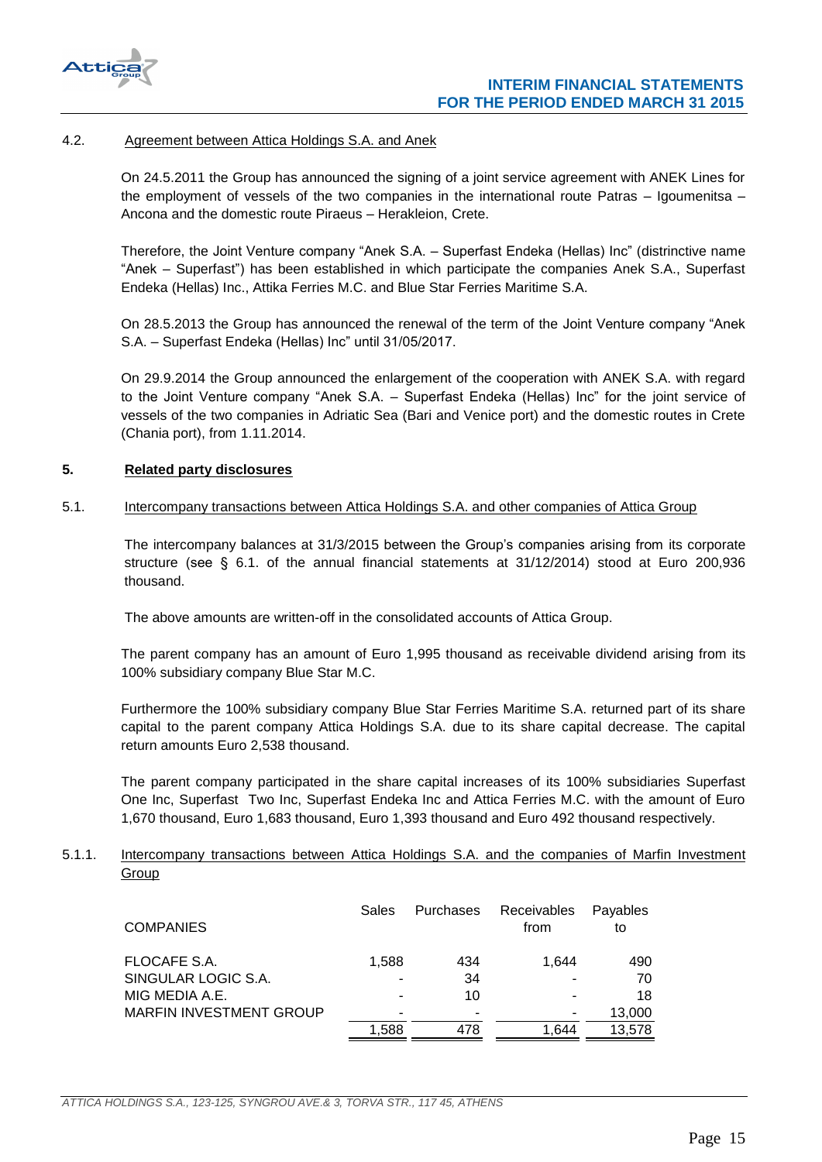

## <span id="page-14-0"></span>4.2. Agreement between Attica Holdings S.A. and Anek

On 24.5.2011 the Group has announced the signing of a joint service agreement with ANEK Lines for the employment of vessels of the two companies in the international route Patras – Igoumenitsa – Ancona and the domestic route Piraeus – Herakleion, Crete.

Therefore, the Joint Venture company "Anek S.A. – Superfast Endeka (Hellas) Inc" (distrinctive name "Anek – Superfast") has been established in which participate the companies Anek S.A., Superfast Endeka (Hellas) Inc., Attika Ferries M.C. and Blue Star Ferries Maritime S.A.

On 28.5.2013 the Group has announced the renewal of the term of the Joint Venture company "Anek S.A. - Superfast Endeka (Hellas) Inc" until 31/05/2017.

On 29.9.2014 the Group announced the enlargement of the cooperation with ANEK S.A. with regard to the Joint Venture company "Anek S.A. – Superfast Endeka (Hellas) Inc" for the joint service of vessels of the two companies in Adriatic Sea (Bari and Venice port) and the domestic routes in Crete (Chania port), from 1.11.2014.

## <span id="page-14-1"></span>**5. Related party disclosures**

#### <span id="page-14-2"></span>5.1. Intercompany transactions between Attica Holdings S.A. and other companies of Attica Group

The intercompany balances at 31/3/2015 between the Group's companies arising from its corporate structure (see § 6.1. of the annual financial statements at 31/12/2014) stood at Euro 200,936 thousand.

The above amounts are written-off in the consolidated accounts of Attica Group.

The parent company has an amount of Euro 1,995 thousand as receivable dividend arising from its 100% subsidiary company Blue Star M.C.

Furthermore the 100% subsidiary company Blue Star Ferries Maritime S.A. returned part of its share capital to the parent company Attica Holdings S.A. due to its share capital decrease. The capital return amounts Euro 2,538 thousand.

The parent company participated in the share capital increases of its 100% subsidiaries Superfast One Inc, Superfast Two Inc, Superfast Endeka Inc and Attica Ferries M.C. with the amount of Euro 1,670 thousand, Euro 1,683 thousand, Euro 1,393 thousand and Euro 492 thousand respectively.

## <span id="page-14-3"></span>5.1.1. Intercompany transactions between Attica Holdings S.A. and the companies of Marfin Investment Group

| <b>COMPANIES</b>               | Sales | Purchases | Receivables<br>from | Payables<br>to |
|--------------------------------|-------|-----------|---------------------|----------------|
| FLOCAFE S.A.                   | 1.588 | 434       | 1.644               | 490            |
| SINGULAR LOGIC S.A.            |       | 34        |                     | 70             |
| MIG MEDIA A.E.                 |       | 10        |                     | 18             |
| <b>MARFIN INVESTMENT GROUP</b> |       | -         |                     | 13,000         |
|                                | 1.588 | 478       | 1.644               | 13.578         |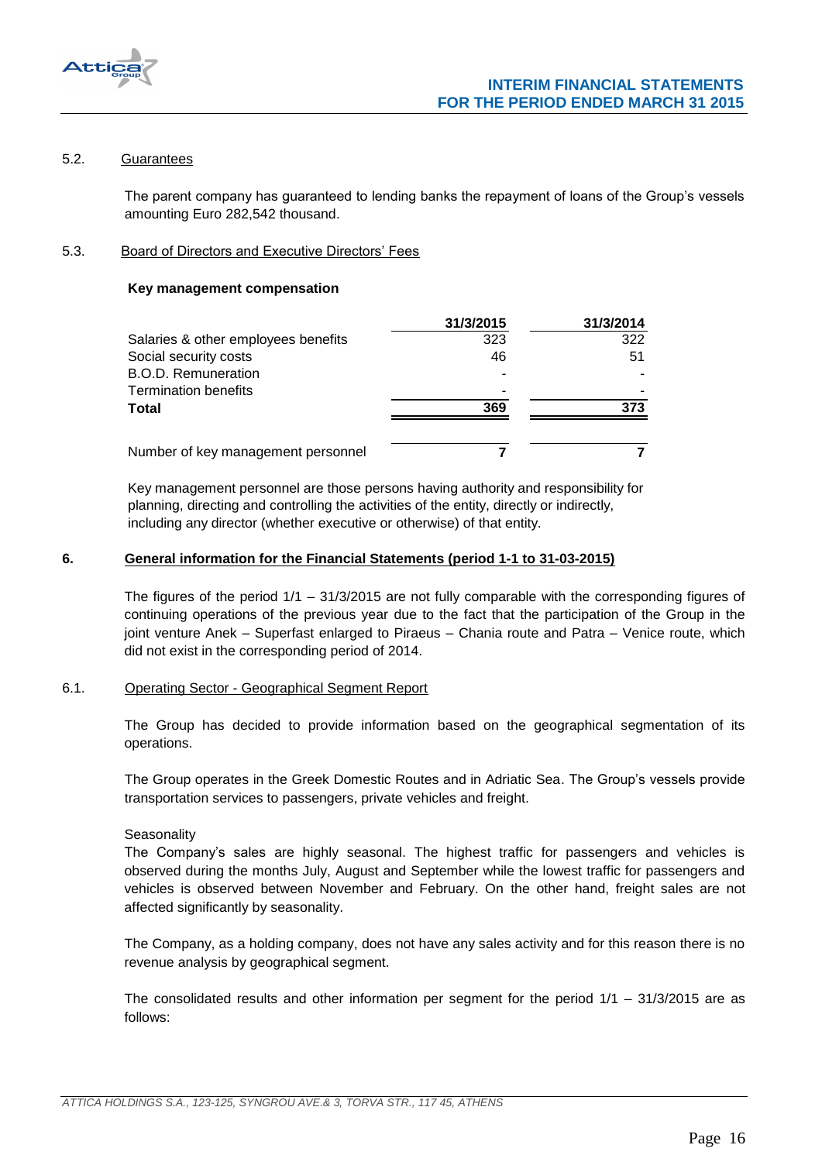

## <span id="page-15-0"></span>5.2. Guarantees

The parent company has guaranteed to lending banks the repayment of loans of the Group's vessels amounting Euro 282,542 thousand.

## <span id="page-15-1"></span>5.3. Board of Directors and Executive Directors' Fees

## **Key management compensation**

|                                     | 31/3/2015 | 31/3/2014 |
|-------------------------------------|-----------|-----------|
| Salaries & other employees benefits | 323       | 322       |
| Social security costs               | 46        | 51        |
| <b>B.O.D. Remuneration</b>          |           |           |
| <b>Termination benefits</b>         |           |           |
| Total                               | 369       | 373       |
| Number of key management personnel  |           |           |
|                                     |           |           |

Key management personnel are those persons having authority and responsibility for planning, directing and controlling the activities of the entity, directly or indirectly, including any director (whether executive or otherwise) of that entity.

## <span id="page-15-2"></span>**6. General information for the Financial Statements (period 1-1 to 31-03-2015)**

The figures of the period 1/1 – 31/3/2015 are not fully comparable with the corresponding figures of continuing operations of the previous year due to the fact that the participation of the Group in the joint venture Anek – Superfast enlarged to Piraeus – Chania route and Patra – Venice route, which did not exist in the corresponding period of 2014.

## <span id="page-15-3"></span>6.1. Operating Sector - Geographical Segment Report

The Group has decided to provide information based on the geographical segmentation of its operations.

The Group operates in the Greek Domestic Routes and in Adriatic Sea. The Group's vessels provide transportation services to passengers, private vehicles and freight.

#### **Seasonality**

The Company's sales are highly seasonal. The highest traffic for passengers and vehicles is observed during the months July, August and September while the lowest traffic for passengers and vehicles is observed between November and February. On the other hand, freight sales are not affected significantly by seasonality.

The Company, as a holding company, does not have any sales activity and for this reason there is no revenue analysis by geographical segment.

The consolidated results and other information per segment for the period 1/1 – 31/3/2015 are as follows: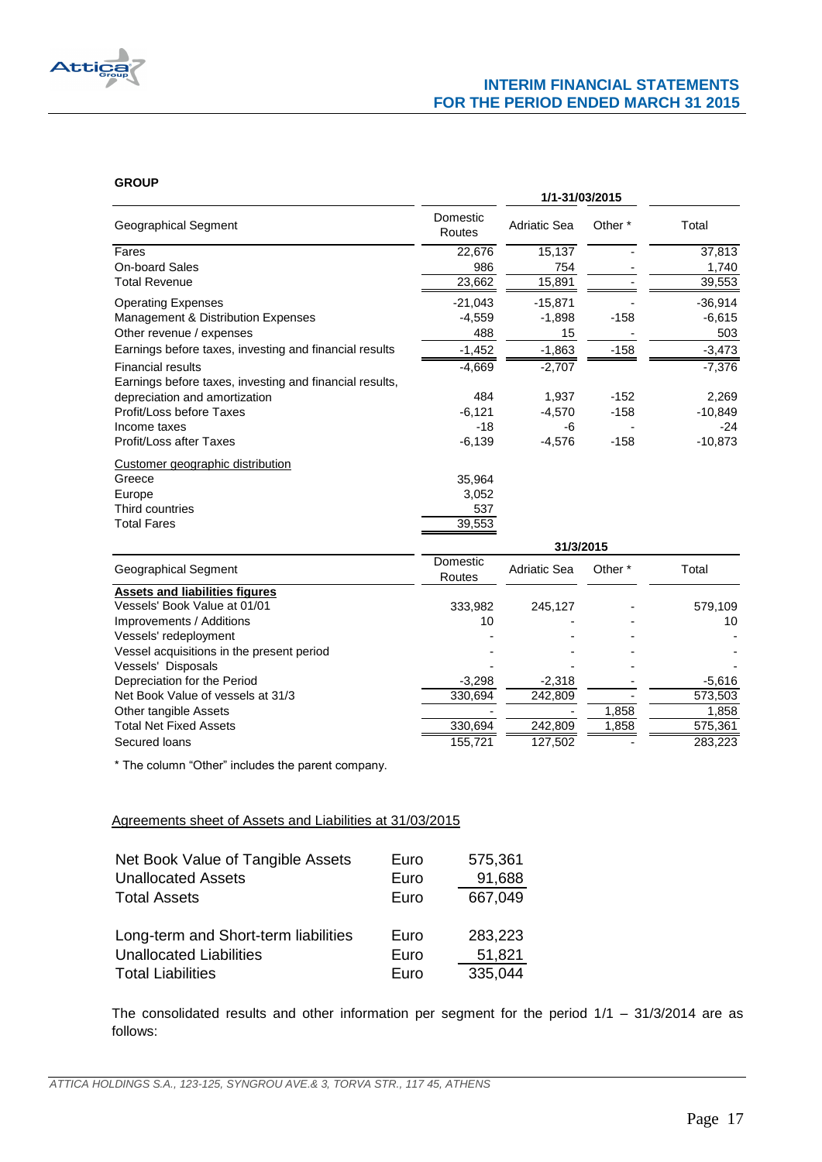

#### **GROUP**

| ישע                                                     | 1/1-31/03/2015     |                     |                    |                      |  |
|---------------------------------------------------------|--------------------|---------------------|--------------------|----------------------|--|
| Geographical Segment                                    | Domestic<br>Routes | <b>Adriatic Sea</b> | Other <sup>*</sup> | Total                |  |
| Fares                                                   | 22,676             | 15,137              |                    | 37,813               |  |
| <b>On-board Sales</b>                                   | 986                | 754                 |                    | 1,740                |  |
| <b>Total Revenue</b>                                    | 23,662             | 15,891              |                    | 39,553               |  |
| <b>Operating Expenses</b>                               | $-21,043$          | $-15,871$           |                    | $-36,914$            |  |
| Management & Distribution Expenses                      | $-4,559$           | $-1,898$            | $-158$             | $-6,615$             |  |
| Other revenue / expenses                                | 488                | 15                  |                    | 503                  |  |
| Earnings before taxes, investing and financial results  | $-1,452$           | $-1,863$            | $-158$             | $-3,473$             |  |
| <b>Financial results</b>                                | $-4,669$           | $-2,707$            |                    | $-7,376$             |  |
| Earnings before taxes, investing and financial results, |                    |                     |                    |                      |  |
| depreciation and amortization                           | 484                | 1,937               | $-152$             | 2,269                |  |
| Profit/Loss before Taxes                                | $-6,121$           | $-4,570$            | $-158$             | $-10,849$            |  |
| Income taxes                                            | $-18$              | -6                  |                    | $-24$                |  |
| <b>Profit/Loss after Taxes</b>                          | $-6,139$           | $-4,576$            | $-158$             | $-10,873$            |  |
| Customer geographic distribution                        |                    |                     |                    |                      |  |
| Greece                                                  | 35,964             |                     |                    |                      |  |
| Europe                                                  | 3,052              |                     |                    |                      |  |
| Third countries                                         | 537                |                     |                    |                      |  |
| <b>Total Fares</b>                                      | 39,553             |                     |                    |                      |  |
|                                                         |                    | 31/3/2015           |                    |                      |  |
| Geographical Segment                                    | Domestic<br>Routes | <b>Adriatic Sea</b> | Other *            | Total                |  |
| <b>Assets and liabilities figures</b>                   |                    |                     |                    |                      |  |
| Vessels' Book Value at 01/01                            | 333,982            | 245,127             |                    | 579,109              |  |
| Improvements / Additions                                | 10                 |                     |                    | 10                   |  |
| Vessels' redeployment                                   |                    |                     |                    |                      |  |
| Vessel acquisitions in the present period               |                    |                     |                    |                      |  |
| Vessels' Disposals                                      |                    |                     |                    |                      |  |
| Depreciation for the Period                             | $-3,298$           | $-2,318$            |                    | $-5,616$             |  |
| Net Book Value of vessels at 31/3                       | 330,694            | 242,809             |                    | $\overline{573,503}$ |  |
| Other tangible Assets                                   |                    |                     | 1,858              | 1,858                |  |
| <b>Total Net Fixed Assets</b>                           | 330,694            | 242,809             | 1,858              | 575,361              |  |
| Secured loans                                           | 155,721            | 127,502             |                    | 283,223              |  |

\* The column "Other" includes the parent company.

## Agreements sheet of Assets and Liabilities at 31/03/2015

| Net Book Value of Tangible Assets    | Euro | 575,361 |
|--------------------------------------|------|---------|
| <b>Unallocated Assets</b>            | Euro | 91,688  |
| <b>Total Assets</b>                  | Euro | 667,049 |
|                                      |      |         |
| Long-term and Short-term liabilities | Euro | 283,223 |
| <b>Unallocated Liabilities</b>       | Euro | 51,821  |
| <b>Total Liabilities</b>             | Euro | 335,044 |

The consolidated results and other information per segment for the period 1/1 – 31/3/2014 are as follows: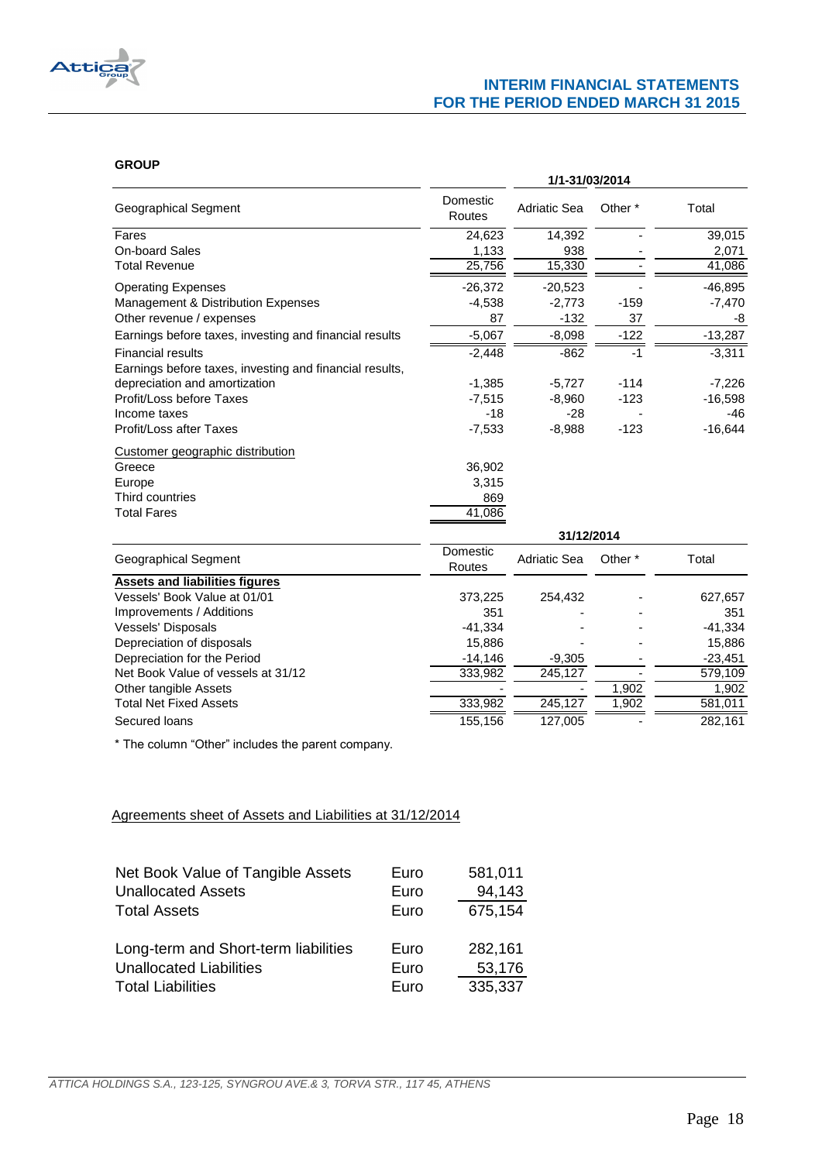

## **GROUP**

| 1/1-31/03/2014 |  |  |  |
|----------------|--|--|--|
| Total          |  |  |  |
| 39,015         |  |  |  |
| 2,071          |  |  |  |
| 41,086         |  |  |  |
| $-46,895$      |  |  |  |
| $-7,470$       |  |  |  |
| -8             |  |  |  |
| $-13,287$      |  |  |  |
| $-3,311$       |  |  |  |
|                |  |  |  |
| $-7,226$       |  |  |  |
| $-16,598$      |  |  |  |
| -46            |  |  |  |
| $-16,644$      |  |  |  |
|                |  |  |  |
|                |  |  |  |
|                |  |  |  |
|                |  |  |  |
|                |  |  |  |
|                |  |  |  |
|                |  |  |  |

| Geographical Segment                  | Domestic<br>Routes | Adriatic Sea | Other <sup>*</sup> | Total     |
|---------------------------------------|--------------------|--------------|--------------------|-----------|
| <b>Assets and liabilities figures</b> |                    |              |                    |           |
| Vessels' Book Value at 01/01          | 373,225            | 254.432      |                    | 627,657   |
| Improvements / Additions              | 351                |              |                    | 351       |
| <b>Vessels' Disposals</b>             | $-41.334$          |              |                    | $-41.334$ |
| Depreciation of disposals             | 15,886             |              |                    | 15,886    |
| Depreciation for the Period           | $-14,146$          | $-9.305$     |                    | $-23,451$ |
| Net Book Value of vessels at 31/12    | 333,982            | 245,127      |                    | 579,109   |
| Other tangible Assets                 |                    |              | 1,902              | 1,902     |
| <b>Total Net Fixed Assets</b>         | 333,982            | 245.127      | 1,902              | 581,011   |
| Secured loans                         | 155.156            | 127.005      |                    | 282.161   |

\* The column "Other" includes the parent company.

# Agreements sheet of Assets and Liabilities at 31/12/2014

| Net Book Value of Tangible Assets    | Euro | 581,011 |
|--------------------------------------|------|---------|
| <b>Unallocated Assets</b>            | Euro | 94,143  |
| <b>Total Assets</b>                  | Euro | 675,154 |
| Long-term and Short-term liabilities | Euro | 282,161 |
| <b>Unallocated Liabilities</b>       | Euro | 53,176  |
| <b>Total Liabilities</b>             | Euro | 335,337 |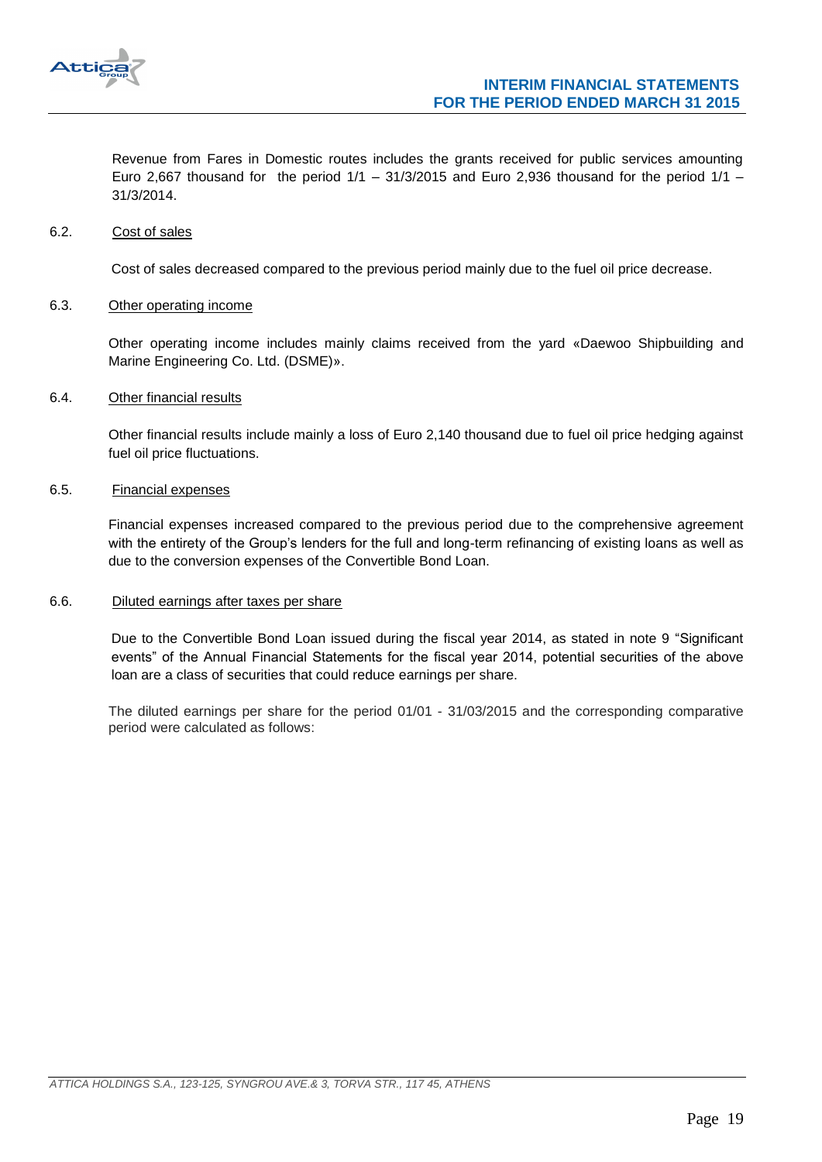

Revenue from Fares in Domestic routes includes the grants received for public services amounting Euro 2,667 thousand for the period  $1/1 - 31/3/2015$  and Euro 2,936 thousand for the period  $1/1 -$ 31/3/2014.

#### <span id="page-18-0"></span>6.2. Cost of sales

Cost of sales decreased compared to the previous period mainly due to the fuel oil price decrease.

#### <span id="page-18-1"></span>6.3. Other operating income

Other operating income includes mainly claims received from the yard «Daewoo Shipbuilding and Marine Engineering Co. Ltd. (DSME)».

#### <span id="page-18-2"></span>6.4. Other financial results

Other financial results include mainly a loss of Euro 2,140 thousand due to fuel oil price hedging against fuel oil price fluctuations.

## <span id="page-18-3"></span>6.5. Financial expenses

Financial expenses increased compared to the previous period due to the comprehensive agreement with the entirety of the Group's lenders for the full and long-term refinancing of existing loans as well as due to the conversion expenses of the Convertible Bond Loan.

### <span id="page-18-4"></span>6.6. Diluted earnings after taxes per share

Due to the Convertible Bond Loan issued during the fiscal year 2014, as stated in note 9 "Significant events" of the Annual Financial Statements for the fiscal year 2014, potential securities of the above loan are a class of securities that could reduce earnings per share.

The diluted earnings per share for the period 01/01 - 31/03/2015 and the corresponding comparative period were calculated as follows: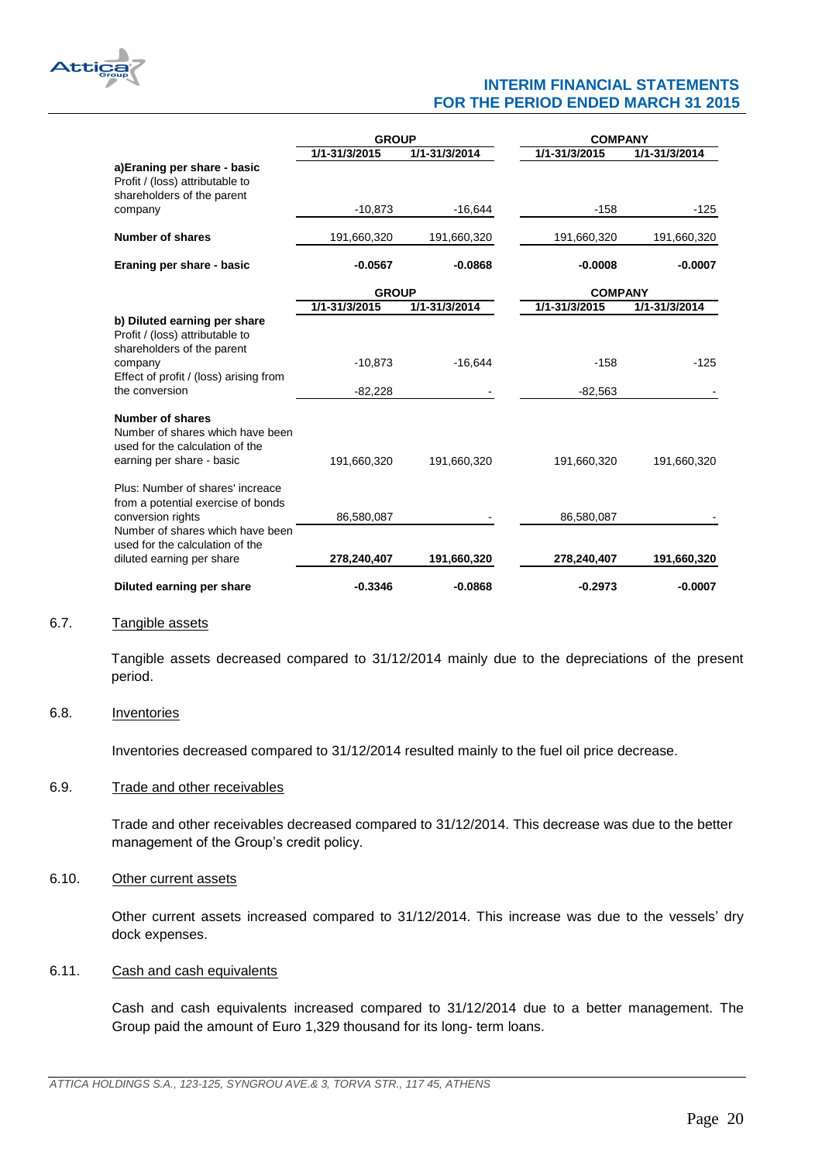

|                                                                                                                             | <b>GROUP</b>  |               | <b>COMPANY</b> |               |  |
|-----------------------------------------------------------------------------------------------------------------------------|---------------|---------------|----------------|---------------|--|
|                                                                                                                             | 1/1-31/3/2015 | 1/1-31/3/2014 | 1/1-31/3/2015  | 1/1-31/3/2014 |  |
| a)Eraning per share - basic<br>Profit / (loss) attributable to<br>shareholders of the parent                                |               |               |                |               |  |
| company                                                                                                                     | $-10,873$     | $-16,644$     | $-158$         | -125          |  |
| <b>Number of shares</b>                                                                                                     | 191,660,320   | 191,660,320   | 191,660,320    | 191,660,320   |  |
| Eraning per share - basic                                                                                                   | $-0.0567$     | $-0.0868$     | $-0.0008$      | $-0.0007$     |  |
|                                                                                                                             | <b>GROUP</b>  |               | <b>COMPANY</b> |               |  |
|                                                                                                                             | 1/1-31/3/2015 | 1/1-31/3/2014 | 1/1-31/3/2015  | 1/1-31/3/2014 |  |
| b) Diluted earning per share<br>Profit / (loss) attributable to<br>shareholders of the parent                               |               |               |                |               |  |
| company<br>Effect of profit / (loss) arising from                                                                           | $-10,873$     | $-16,644$     | $-158$         | $-125$        |  |
| the conversion                                                                                                              | $-82,228$     |               | $-82,563$      |               |  |
| <b>Number of shares</b><br>Number of shares which have been<br>used for the calculation of the<br>earning per share - basic | 191,660,320   | 191,660,320   | 191,660,320    | 191,660,320   |  |
| Plus: Number of shares' increace<br>from a potential exercise of bonds                                                      |               |               |                |               |  |
| conversion rights                                                                                                           | 86,580,087    |               | 86,580,087     |               |  |
| Number of shares which have been<br>used for the calculation of the<br>diluted earning per share                            | 278,240,407   | 191,660,320   | 278,240,407    | 191,660,320   |  |
| Diluted earning per share                                                                                                   | $-0.3346$     | $-0.0868$     | $-0.2973$      | $-0.0007$     |  |

#### <span id="page-19-0"></span>6.7. Tangible assets

Tangible assets decreased compared to 31/12/2014 mainly due to the depreciations of the present period.

## <span id="page-19-1"></span>6.8. Inventories

Inventories decreased compared to 31/12/2014 resulted mainly to the fuel oil price decrease.

#### <span id="page-19-2"></span>6.9. Trade and other receivables

Trade and other receivables decreased compared to 31/12/2014. This decrease was due to the better management of the Group's credit policy.

#### <span id="page-19-3"></span>6.10. Other current assets

Other current assets increased compared to 31/12/2014. This increase was due to the vessels' dry dock expenses.

#### <span id="page-19-4"></span>6.11. Cash and cash equivalents

Cash and cash equivalents increased compared to 31/12/2014 due to a better management. The Group paid the amount of Euro 1,329 thousand for its long- term loans.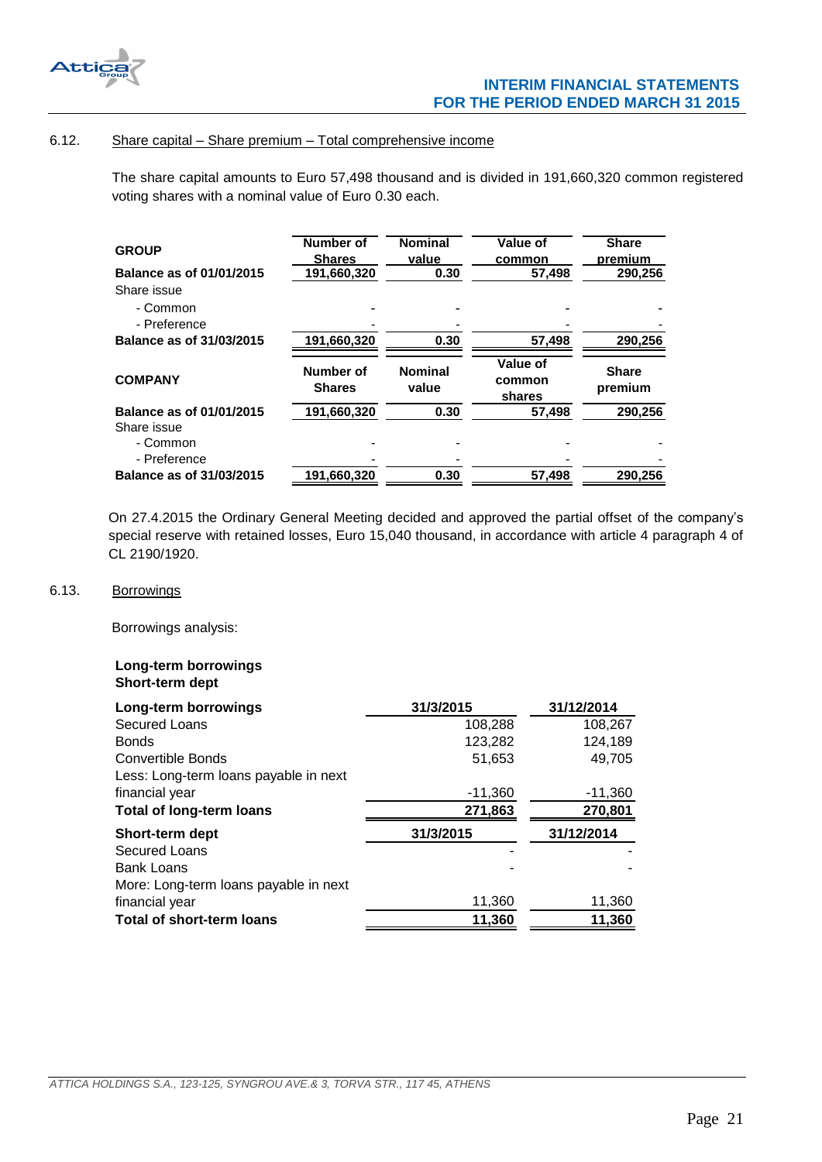

## <span id="page-20-0"></span>6.12. Share capital – Share premium – Total comprehensive income

The share capital amounts to Euro 57,498 thousand and is divided in 191,660,320 common registered voting shares with a nominal value of Euro 0.30 each.

| <b>GROUP</b>             | <b>Number of</b><br><b>Shares</b> | <b>Nominal</b><br>value | Value of<br>common           | <b>Share</b><br>premium |
|--------------------------|-----------------------------------|-------------------------|------------------------------|-------------------------|
| Balance as of 01/01/2015 | 191,660,320                       | 0.30                    | 57.498                       | 290,256                 |
| Share issue              |                                   |                         |                              |                         |
| - Common<br>- Preference |                                   |                         |                              |                         |
| Balance as of 31/03/2015 | 191,660,320                       | 0.30                    | 57,498                       | 290.256                 |
|                          |                                   |                         |                              |                         |
| <b>COMPANY</b>           | Number of<br><b>Shares</b>        | <b>Nominal</b><br>value | Value of<br>common<br>shares | <b>Share</b><br>premium |
| Balance as of 01/01/2015 | 191,660,320                       | 0.30                    | 57,498                       | 290,256                 |
| Share issue<br>- Common  |                                   |                         |                              |                         |
| - Preference             |                                   |                         |                              |                         |

On 27.4.2015 the Ordinary General Meeting decided and approved the partial offset of the company's special reserve with retained losses, Euro 15,040 thousand, in accordance with article 4 paragraph 4 of CL 2190/1920.

## <span id="page-20-1"></span>6.13. Borrowings

Borrowings analysis:

## **Long-term borrowings Short-term dept**

| Long-term borrowings                  | 31/3/2015 | 31/12/2014 |
|---------------------------------------|-----------|------------|
| <b>Secured Loans</b>                  | 108,288   | 108,267    |
| <b>Bonds</b>                          | 123,282   | 124,189    |
| Convertible Bonds                     | 51,653    | 49,705     |
| Less: Long-term loans payable in next |           |            |
| financial year                        | $-11,360$ | $-11,360$  |
| <b>Total of long-term loans</b>       | 271,863   | 270,801    |
| Short-term dept                       | 31/3/2015 | 31/12/2014 |
| <b>Secured Loans</b>                  |           |            |
| <b>Bank Loans</b>                     |           |            |
| More: Long-term loans payable in next |           |            |
| financial year                        | 11,360    | 11,360     |
| <b>Total of short-term loans</b>      | 11,360    | 11,360     |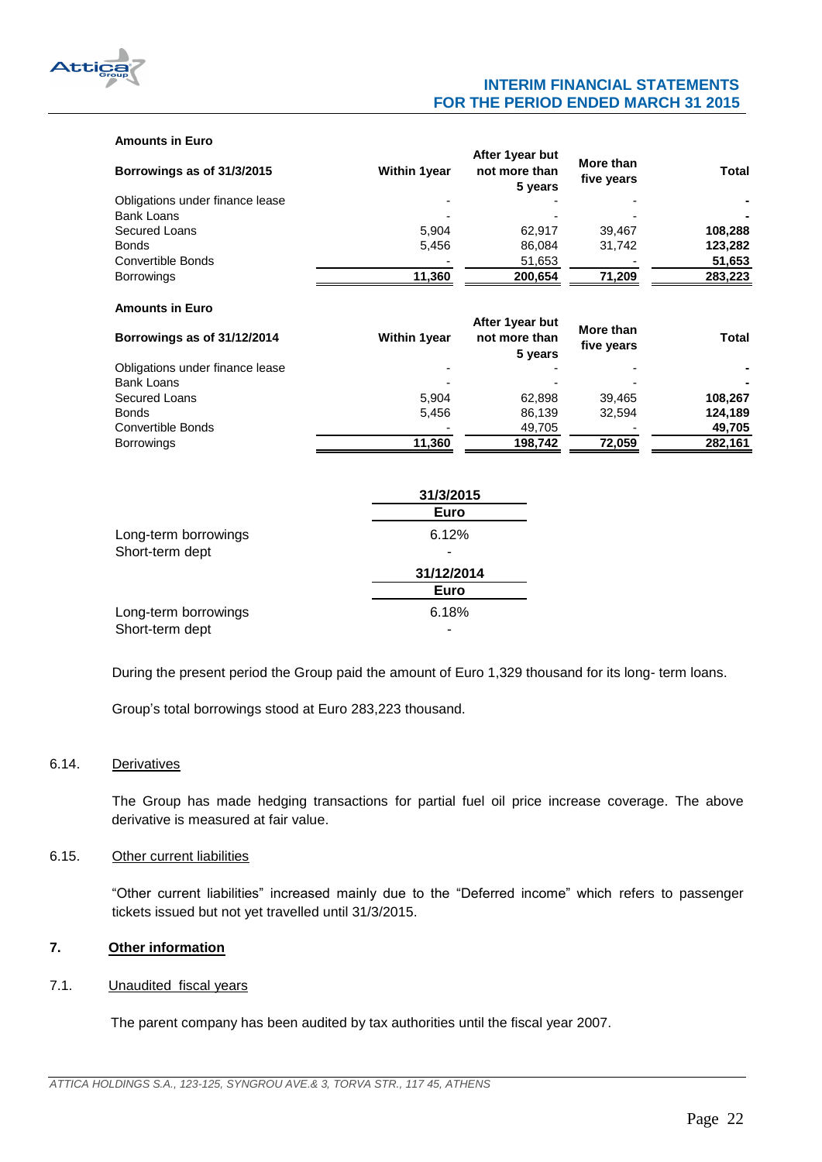

#### **Amounts in Euro**

| Borrowings as of 31/3/2015      | <b>Within 1year</b> | After 1year but<br>not more than<br>5 years | More than<br>five years | <b>Total</b> |
|---------------------------------|---------------------|---------------------------------------------|-------------------------|--------------|
| Obligations under finance lease |                     |                                             |                         |              |
| Bank Loans                      |                     |                                             |                         |              |
| Secured Loans                   | 5.904               | 62.917                                      | 39,467                  | 108,288      |
| <b>Bonds</b>                    | 5,456               | 86,084                                      | 31,742                  | 123,282      |
| Convertible Bonds               |                     | 51,653                                      |                         | 51,653       |
| <b>Borrowings</b>               | 11,360              | 200,654                                     | 71,209                  | 283,223      |
| <b>Amounts in Euro</b>          |                     | After 1 year but                            | <b>Mana</b> Alexan      |              |

| Borrowings as of 31/12/2014     | <b>Within 1year</b> | TUWI IYUU NUL<br>not more than<br>5 years | More than<br>five years | <b>Total</b> |  |
|---------------------------------|---------------------|-------------------------------------------|-------------------------|--------------|--|
| Obligations under finance lease | -                   |                                           |                         |              |  |
| Bank Loans                      |                     |                                           |                         |              |  |
| Secured Loans                   | 5.904               | 62.898                                    | 39.465                  | 108.267      |  |
| <b>Bonds</b>                    | 5.456               | 86,139                                    | 32.594                  | 124,189      |  |
| Convertible Bonds               |                     | 49,705                                    |                         | 49,705       |  |
| <b>Borrowings</b>               | 11,360              | 198,742                                   | 72,059                  | 282,161      |  |

|                      | 31/3/2015  |
|----------------------|------------|
|                      | Euro       |
| Long-term borrowings | 6.12%      |
| Short-term dept      |            |
|                      | 31/12/2014 |
|                      | Euro       |
| Long-term borrowings | 6.18%      |
| Short-term dept      |            |

During the present period the Group paid the amount of Euro 1,329 thousand for its long- term loans.

Group's total borrowings stood at Euro 283,223 thousand.

## <span id="page-21-0"></span>6.14. Derivatives

The Group has made hedging transactions for partial fuel oil price increase coverage. The above derivative is measured at fair value.

## <span id="page-21-1"></span>6.15. Other current liabilities

"Other current liabilities" increased mainly due to the "Deferred income" which refers to passenger tickets issued but not yet travelled until 31/3/2015.

# <span id="page-21-2"></span>**7. Other information**

## <span id="page-21-3"></span>7.1. Unaudited fiscal years

The parent company has been audited by tax authorities until the fiscal year 2007.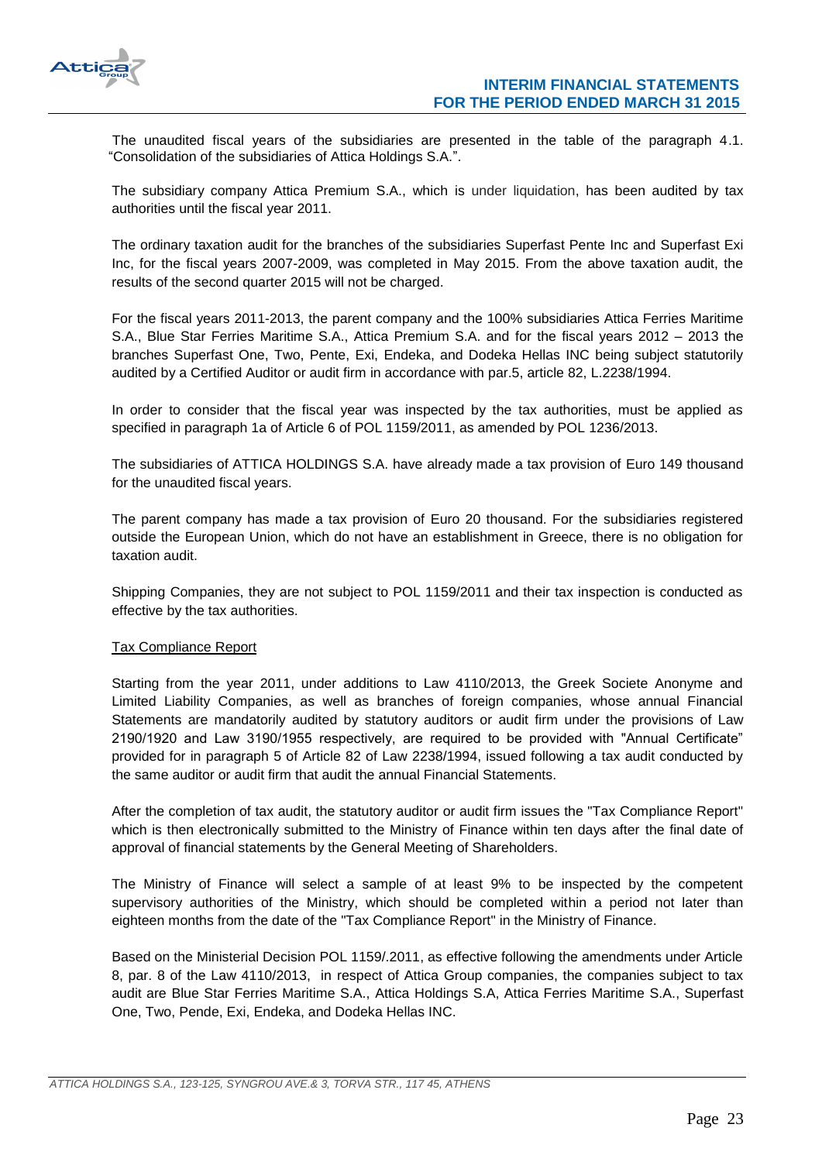

The unaudited fiscal years of the subsidiaries are presented in the table of the paragraph 4.1. "Consolidation of the subsidiaries of Attica Holdings S.A.".

The subsidiary company Attica Premium S.A., which is under liquidation, has been audited by tax authorities until the fiscal year 2011.

The ordinary taxation audit for the branches of the subsidiaries Superfast Pente Inc and Superfast Exi Inc, for the fiscal years 2007-2009, was completed in May 2015. From the above taxation audit, the results of the second quarter 2015 will not be charged.

For the fiscal years 2011-2013, the parent company and the 100% subsidiaries Attica Ferries Maritime S.A., Blue Star Ferries Maritime S.A., Attica Premium S.A. and for the fiscal years 2012 – 2013 the branches Superfast One, Two, Pente, Exi, Endeka, and Dodeka Hellas INC being subject statutorily audited by a Certified Auditor or audit firm in accordance with par.5, article 82, L.2238/1994.

In order to consider that the fiscal year was inspected by the tax authorities, must be applied as specified in paragraph 1a of Article 6 of POL 1159/2011, as amended by POL 1236/2013.

The subsidiaries of ATTICA HOLDINGS S.A. have already made a tax provision of Euro 149 thousand for the unaudited fiscal years.

The parent company has made a tax provision of Euro 20 thousand. For the subsidiaries registered outside the European Union, which do not have an establishment in Greece, there is no obligation for taxation audit.

Shipping Companies, they are not subject to POL 1159/2011 and their tax inspection is conducted as effective by the tax authorities.

## Tax Compliance Report

Starting from the year 2011, under additions to Law 4110/2013, the Greek Societe Anonyme and Limited Liability Companies, as well as branches of foreign companies, whose annual Financial Statements are mandatorily audited by statutory auditors or audit firm under the provisions of Law 2190/1920 and Law 3190/1955 respectively, are required to be provided with "Annual Certificate" provided for in paragraph 5 of Article 82 of Law 2238/1994, issued following a tax audit conducted by the same auditor or audit firm that audit the annual Financial Statements.

After the completion of tax audit, the statutory auditor or audit firm issues the "Tax Compliance Report" which is then electronically submitted to the Ministry of Finance within ten days after the final date of approval of financial statements by the General Meeting of Shareholders.

The Ministry of Finance will select a sample of at least 9% to be inspected by the competent supervisory authorities of the Ministry, which should be completed within a period not later than eighteen months from the date of the "Tax Compliance Report" in the Ministry of Finance.

Based on the Ministerial Decision POL 1159/.2011, as effective following the amendments under Article 8, par. 8 of the Law 4110/2013, in respect of Attica Group companies, the companies subject to tax audit are Blue Star Ferries Maritime S.A., Attica Holdings S.A, Attica Ferries Maritime S.A., Superfast One, Two, Pende, Exi, Endeka, and Dodeka Hellas INC.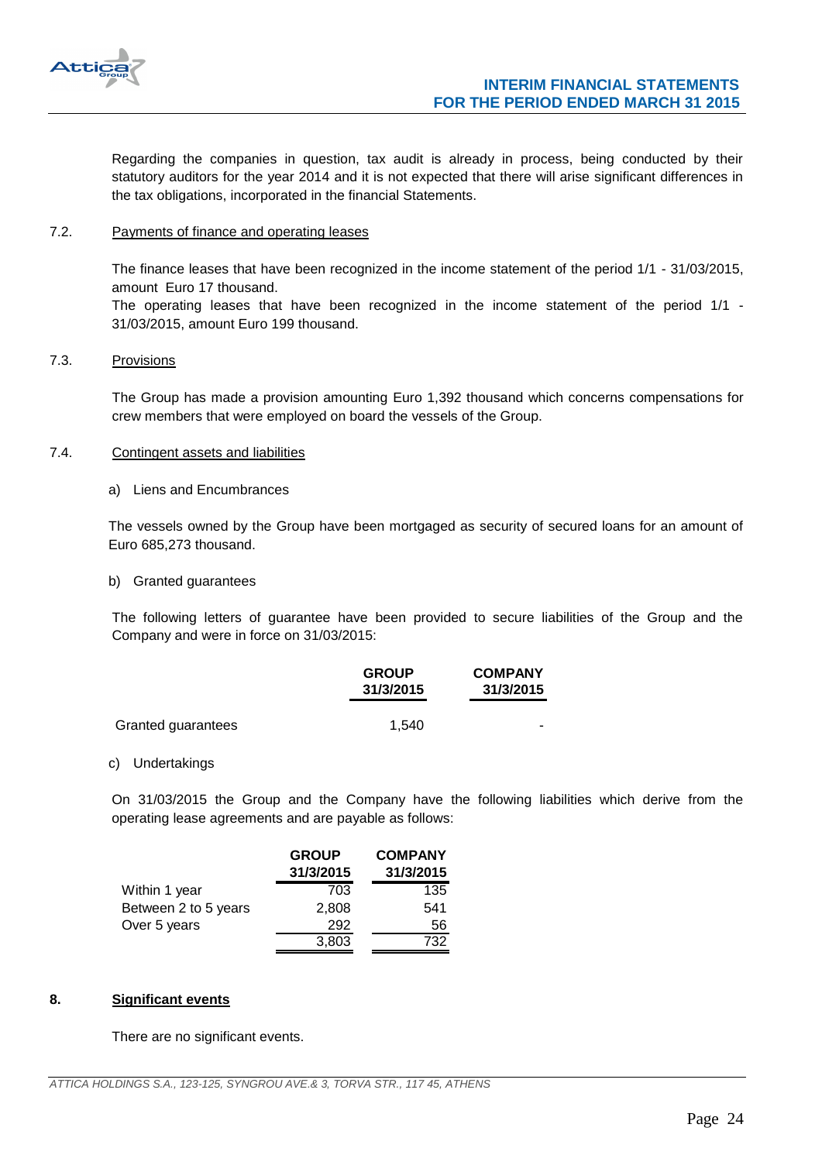

Regarding the companies in question, tax audit is already in process, being conducted by their statutory auditors for the year 2014 and it is not expected that there will arise significant differences in the tax obligations, incorporated in the financial Statements.

## <span id="page-23-0"></span>7.2. Payments of finance and operating leases

The finance leases that have been recognized in the income statement of the period 1/1 - 31/03/2015, amount Euro 17 thousand.

The operating leases that have been recognized in the income statement of the period 1/1 - 31/03/2015, amount Euro 199 thousand.

## <span id="page-23-1"></span>7.3. Provisions

The Group has made a provision amounting Euro 1,392 thousand which concerns compensations for crew members that were employed on board the vessels of the Group.

#### <span id="page-23-2"></span>7.4. Contingent assets and liabilities

a) Liens and Encumbrances

The vessels owned by the Group have been mortgaged as security of secured loans for an amount of Euro 685,273 thousand.

b) Granted guarantees

The following letters of guarantee have been provided to secure liabilities of the Group and the Company and were in force on 31/03/2015:

|                    | <b>GROUP</b><br>31/3/2015 | <b>COMPANY</b><br>31/3/2015 |
|--------------------|---------------------------|-----------------------------|
| Granted guarantees | 1.540                     | -                           |

#### c) Undertakings

On 31/03/2015 the Group and the Company have the following liabilities which derive from the operating lease agreements and are payable as follows:

|                      | <b>GROUP</b><br>31/3/2015 | <b>COMPANY</b><br>31/3/2015 |
|----------------------|---------------------------|-----------------------------|
| Within 1 year        | 703                       | 135                         |
| Between 2 to 5 years | 2,808                     | 541                         |
| Over 5 years         | 292                       | 56                          |
|                      | 3,803                     | 732                         |

#### <span id="page-23-3"></span>**8. Significant events**

There are no significant events.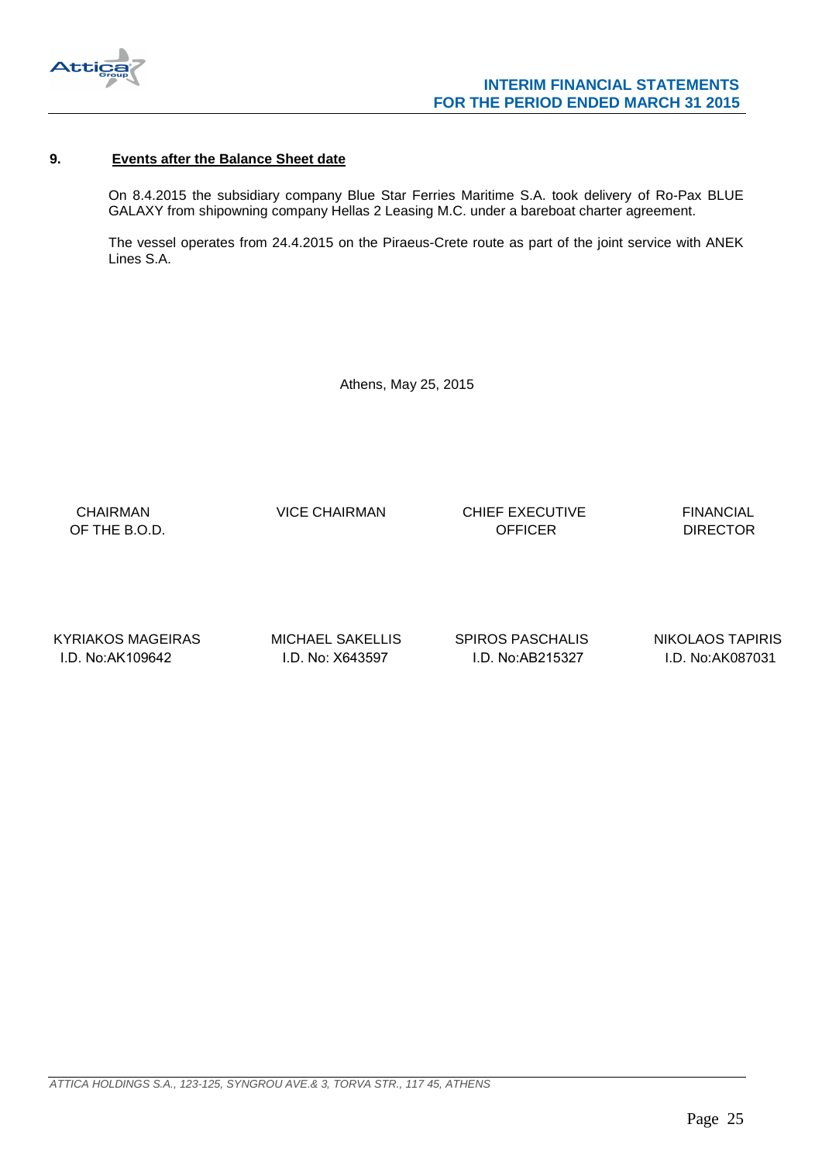

## <span id="page-24-0"></span>**9. Events after the Balance Sheet date**

On 8.4.2015 the subsidiary company Blue Star Ferries Maritime S.A. took delivery of Ro-Pax BLUE GALAXY from shipowning company Hellas 2 Leasing M.C. under a bareboat charter agreement.

The vessel operates from 24.4.2015 on the Piraeus-Crete route as part of the joint service with ANEK Lines S.A.

Athens, May 25, 2015

 CHAIRMAN VICE CHAIRMAN CHIEF EXECUTIVE FINANCIAL OF THE B.O.D. DIRECTOR CONTROL CONTROL CONTROL CONTROL CONTROL CONTROL CONTROL CONTROL CONTROL CONTROL CONTROL CONTROL CONTROL CONTROL CONTROL CONTROL CONTROL CONTROL CONTROL CONTROL CONTROL CONTROL CONTROL CONTROL CONTROL

KYRIAKOS MAGEIRAS MICHAEL SAKELLIS SPIROS PASCHALIS NIKOLAOS TAPIRIS I.D. No:ΑΚ109642 I.D. No: Χ643597 I.D. No:ΑΒ215327 I.D. No:AK087031